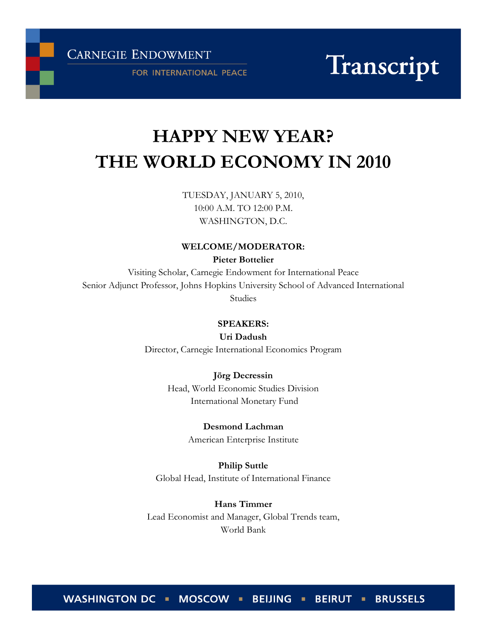**CARNEGIE ENDOWMENT** 

FOR INTERNATIONAL PEACE

Transcript

# HAPPY NEW YEAR? THE WORLD ECONOMY IN 2010

TUESDAY, JANUARY 5, 2010, 10:00 A.M. TO 12:00 P.M. WASHINGTON, D.C.

### WELCOME/MODERATOR:

Pieter Bottelier

Visiting Scholar, Carnegie Endowment for International Peace Senior Adjunct Professor, Johns Hopkins University School of Advanced International Studies

## SPEAKERS:

Uri Dadush

Director, Carnegie International Economics Program

Jörg Decressin Head, World Economic Studies Division International Monetary Fund

> Desmond Lachman American Enterprise Institute

Philip Suttle Global Head, Institute of International Finance

Hans Timmer Lead Economist and Manager, Global Trends team, World Bank

WASHINGTON DC · MOSCOW · BEIJING · BEIRUT · BRUSSELS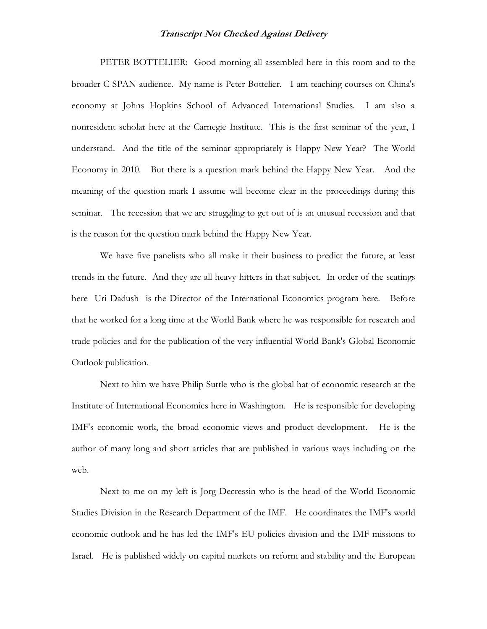PETER BOTTELIER: Good morning all assembled here in this room and to the broader C-SPAN audience. My name is Peter Bottelier. I am teaching courses on China's economy at Johns Hopkins School of Advanced International Studies. I am also a nonresident scholar here at the Carnegie Institute. This is the first seminar of the year, I understand. And the title of the seminar appropriately is Happy New Year? The World Economy in 2010. But there is a question mark behind the Happy New Year. And the meaning of the question mark I assume will become clear in the proceedings during this seminar. The recession that we are struggling to get out of is an unusual recession and that is the reason for the question mark behind the Happy New Year.

We have five panelists who all make it their business to predict the future, at least trends in the future. And they are all heavy hitters in that subject. In order of the seatings here Uri Dadush is the Director of the International Economics program here. Before that he worked for a long time at the World Bank where he was responsible for research and trade policies and for the publication of the very influential World Bank's Global Economic Outlook publication.

Next to him we have Philip Suttle who is the global hat of economic research at the Institute of International Economics here in Washington. He is responsible for developing IMF's economic work, the broad economic views and product development. He is the author of many long and short articles that are published in various ways including on the web.

Next to me on my left is Jorg Decressin who is the head of the World Economic Studies Division in the Research Department of the IMF. He coordinates the IMF's world economic outlook and he has led the IMF's EU policies division and the IMF missions to Israel. He is published widely on capital markets on reform and stability and the European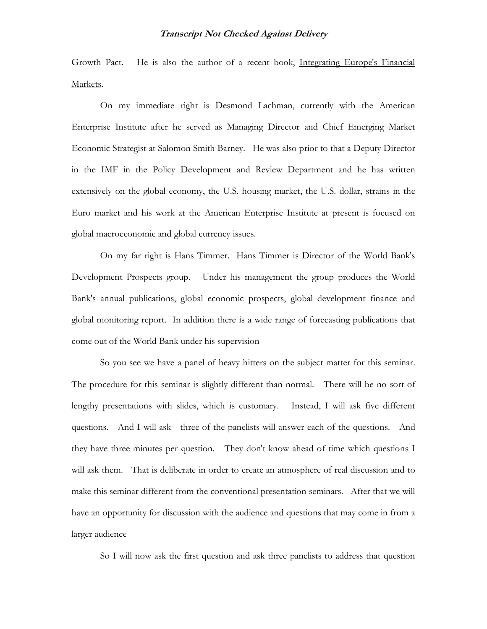Growth Pact. He is also the author of a recent book, Integrating Europe's Financial Markets.

On my immediate right is Desmond Lachman, currently with the American Enterprise Institute after he served as Managing Director and Chief Emerging Market Economic Strategist at Salomon Smith Barney. He was also prior to that a Deputy Director in the IMF in the Policy Development and Review Department and he has written extensively on the global economy, the U.S. housing market, the U.S. dollar, strains in the Euro market and his work at the American Enterprise Institute at present is focused on global macroeconomic and global currency issues.

On my far right is Hans Timmer. Hans Timmer is Director of the World Bank's Development Prospects group. Under his management the group produces the World Bank's annual publications, global economic prospects, global development finance and global monitoring report. In addition there is a wide range of forecasting publications that come out of the World Bank under his supervision

So you see we have a panel of heavy hitters on the subject matter for this seminar. The procedure for this seminar is slightly different than normal. There will be no sort of lengthy presentations with slides, which is customary. Instead, I will ask five different questions. And I will ask - three of the panelists will answer each of the questions. And they have three minutes per question. They don't know ahead of time which questions I will ask them. That is deliberate in order to create an atmosphere of real discussion and to make this seminar different from the conventional presentation seminars. After that we will have an opportunity for discussion with the audience and questions that may come in from a larger audience

So I will now ask the first question and ask three panelists to address that question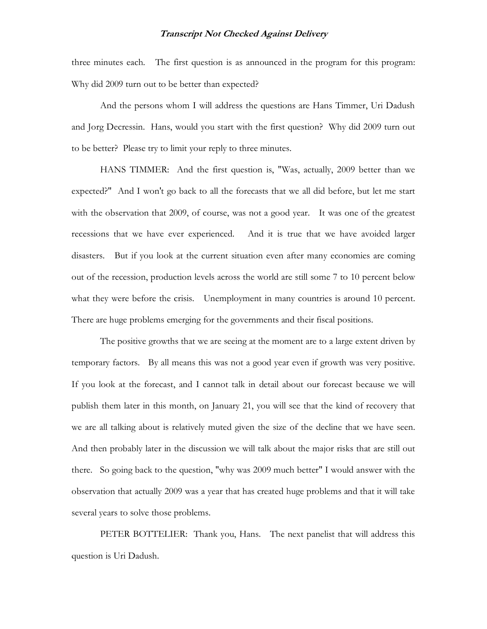three minutes each. The first question is as announced in the program for this program: Why did 2009 turn out to be better than expected?

And the persons whom I will address the questions are Hans Timmer, Uri Dadush and Jorg Decressin. Hans, would you start with the first question? Why did 2009 turn out to be better? Please try to limit your reply to three minutes.

HANS TIMMER: And the first question is, "Was, actually, 2009 better than we expected?" And I won't go back to all the forecasts that we all did before, but let me start with the observation that 2009, of course, was not a good year. It was one of the greatest recessions that we have ever experienced. And it is true that we have avoided larger disasters. But if you look at the current situation even after many economies are coming out of the recession, production levels across the world are still some 7 to 10 percent below what they were before the crisis. Unemployment in many countries is around 10 percent. There are huge problems emerging for the governments and their fiscal positions.

The positive growths that we are seeing at the moment are to a large extent driven by temporary factors. By all means this was not a good year even if growth was very positive. If you look at the forecast, and I cannot talk in detail about our forecast because we will publish them later in this month, on January 21, you will see that the kind of recovery that we are all talking about is relatively muted given the size of the decline that we have seen. And then probably later in the discussion we will talk about the major risks that are still out there. So going back to the question, "why was 2009 much better" I would answer with the observation that actually 2009 was a year that has created huge problems and that it will take several years to solve those problems.

PETER BOTTELIER: Thank you, Hans. The next panelist that will address this question is Uri Dadush.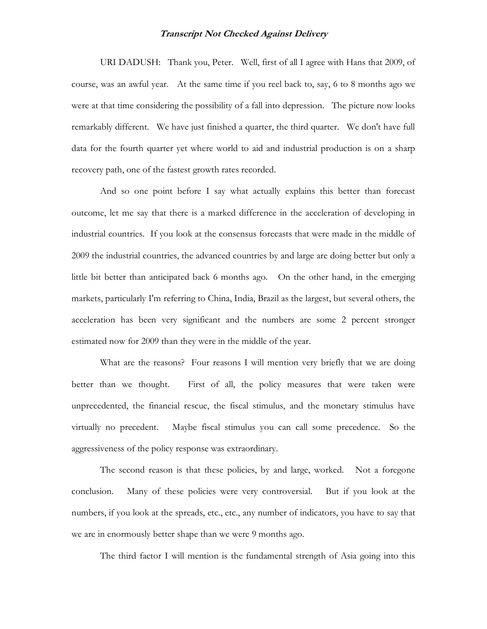URI DADUSH: Thank you, Peter. Well, first of all I agree with Hans that 2009, of course, was an awful year. At the same time if you reel back to, say, 6 to 8 months ago we were at that time considering the possibility of a fall into depression. The picture now looks remarkably different. We have just finished a quarter, the third quarter. We don't have full data for the fourth quarter yet where world to aid and industrial production is on a sharp recovery path, one of the fastest growth rates recorded.

And so one point before I say what actually explains this better than forecast outcome, let me say that there is a marked difference in the acceleration of developing in industrial countries. If you look at the consensus forecasts that were made in the middle of 2009 the industrial countries, the advanced countries by and large are doing better but only a little bit better than anticipated back 6 months ago. On the other hand, in the emerging markets, particularly I'm referring to China, India, Brazil as the largest, but several others, the acceleration has been very significant and the numbers are some 2 percent stronger estimated now for 2009 than they were in the middle of the year.

What are the reasons? Four reasons I will mention very briefly that we are doing better than we thought. First of all, the policy measures that were taken were unprecedented, the financial rescue, the fiscal stimulus, and the monetary stimulus have virtually no precedent. Maybe fiscal stimulus you can call some precedence. So the aggressiveness of the policy response was extraordinary.

The second reason is that these policies, by and large, worked. Not a foregone conclusion. Many of these policies were very controversial. But if you look at the numbers, if you look at the spreads, etc., etc., any number of indicators, you have to say that we are in enormously better shape than we were 9 months ago.

The third factor I will mention is the fundamental strength of Asia going into this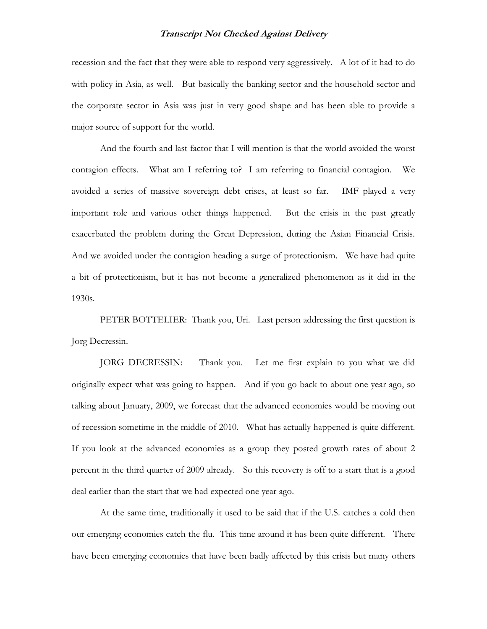recession and the fact that they were able to respond very aggressively. A lot of it had to do with policy in Asia, as well. But basically the banking sector and the household sector and the corporate sector in Asia was just in very good shape and has been able to provide a major source of support for the world.

And the fourth and last factor that I will mention is that the world avoided the worst contagion effects. What am I referring to? I am referring to financial contagion. We avoided a series of massive sovereign debt crises, at least so far. IMF played a very important role and various other things happened. But the crisis in the past greatly exacerbated the problem during the Great Depression, during the Asian Financial Crisis. And we avoided under the contagion heading a surge of protectionism. We have had quite a bit of protectionism, but it has not become a generalized phenomenon as it did in the 1930s.

PETER BOTTELIER: Thank you, Uri. Last person addressing the first question is Jorg Decressin.

JORG DECRESSIN: Thank you. Let me first explain to you what we did originally expect what was going to happen. And if you go back to about one year ago, so talking about January, 2009, we forecast that the advanced economies would be moving out of recession sometime in the middle of 2010. What has actually happened is quite different. If you look at the advanced economies as a group they posted growth rates of about 2 percent in the third quarter of 2009 already. So this recovery is off to a start that is a good deal earlier than the start that we had expected one year ago.

At the same time, traditionally it used to be said that if the U.S. catches a cold then our emerging economies catch the flu. This time around it has been quite different. There have been emerging economies that have been badly affected by this crisis but many others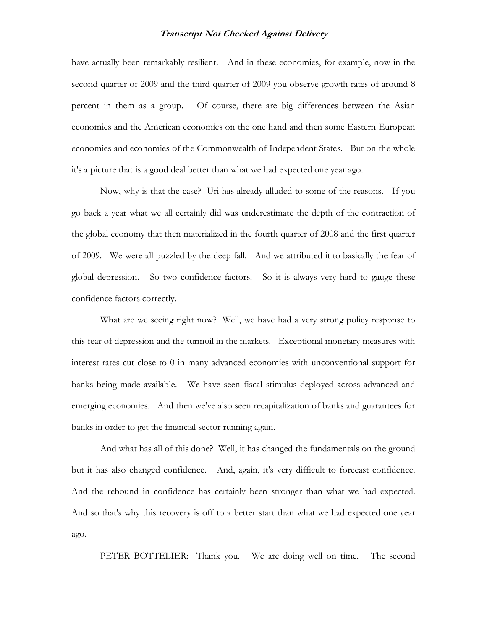have actually been remarkably resilient. And in these economies, for example, now in the second quarter of 2009 and the third quarter of 2009 you observe growth rates of around 8 percent in them as a group. Of course, there are big differences between the Asian economies and the American economies on the one hand and then some Eastern European economies and economies of the Commonwealth of Independent States. But on the whole it's a picture that is a good deal better than what we had expected one year ago.

Now, why is that the case? Uri has already alluded to some of the reasons. If you go back a year what we all certainly did was underestimate the depth of the contraction of the global economy that then materialized in the fourth quarter of 2008 and the first quarter of 2009. We were all puzzled by the deep fall. And we attributed it to basically the fear of global depression. So two confidence factors. So it is always very hard to gauge these confidence factors correctly.

What are we seeing right now? Well, we have had a very strong policy response to this fear of depression and the turmoil in the markets. Exceptional monetary measures with interest rates cut close to 0 in many advanced economies with unconventional support for banks being made available. We have seen fiscal stimulus deployed across advanced and emerging economies. And then we've also seen recapitalization of banks and guarantees for banks in order to get the financial sector running again.

And what has all of this done? Well, it has changed the fundamentals on the ground but it has also changed confidence. And, again, it's very difficult to forecast confidence. And the rebound in confidence has certainly been stronger than what we had expected. And so that's why this recovery is off to a better start than what we had expected one year ago.

PETER BOTTELIER: Thank you. We are doing well on time. The second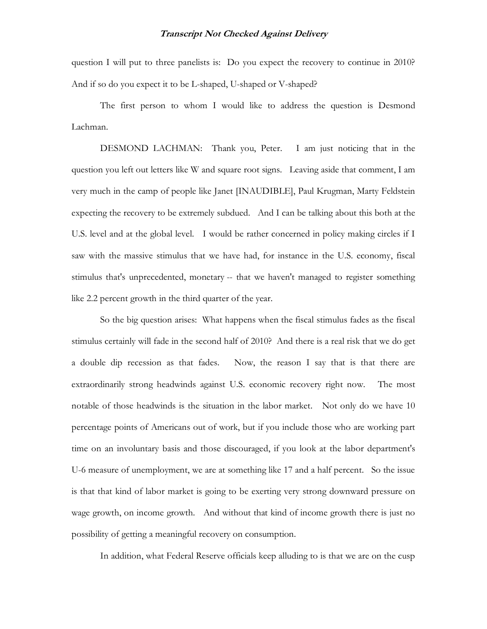question I will put to three panelists is: Do you expect the recovery to continue in 2010? And if so do you expect it to be L-shaped, U-shaped or V-shaped?

The first person to whom I would like to address the question is Desmond Lachman.

DESMOND LACHMAN: Thank you, Peter. I am just noticing that in the question you left out letters like W and square root signs. Leaving aside that comment, I am very much in the camp of people like Janet [INAUDIBLE], Paul Krugman, Marty Feldstein expecting the recovery to be extremely subdued. And I can be talking about this both at the U.S. level and at the global level. I would be rather concerned in policy making circles if I saw with the massive stimulus that we have had, for instance in the U.S. economy, fiscal stimulus that's unprecedented, monetary -- that we haven't managed to register something like 2.2 percent growth in the third quarter of the year.

So the big question arises: What happens when the fiscal stimulus fades as the fiscal stimulus certainly will fade in the second half of 2010? And there is a real risk that we do get a double dip recession as that fades. Now, the reason I say that is that there are extraordinarily strong headwinds against U.S. economic recovery right now. The most notable of those headwinds is the situation in the labor market. Not only do we have 10 percentage points of Americans out of work, but if you include those who are working part time on an involuntary basis and those discouraged, if you look at the labor department's U-6 measure of unemployment, we are at something like 17 and a half percent. So the issue is that that kind of labor market is going to be exerting very strong downward pressure on wage growth, on income growth. And without that kind of income growth there is just no possibility of getting a meaningful recovery on consumption.

In addition, what Federal Reserve officials keep alluding to is that we are on the cusp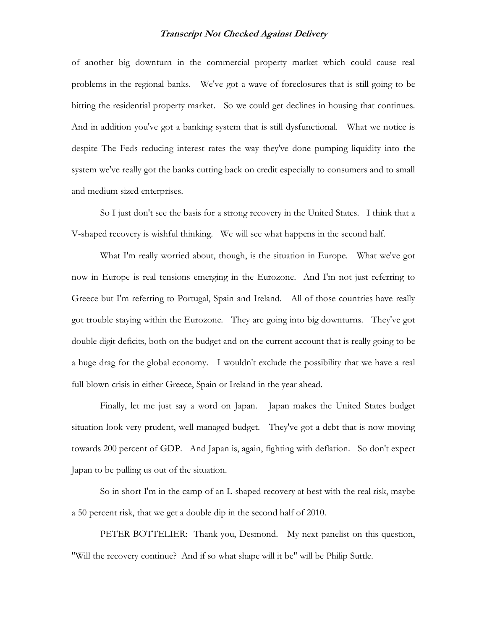of another big downturn in the commercial property market which could cause real problems in the regional banks. We've got a wave of foreclosures that is still going to be hitting the residential property market. So we could get declines in housing that continues. And in addition you've got a banking system that is still dysfunctional. What we notice is despite The Feds reducing interest rates the way they've done pumping liquidity into the system we've really got the banks cutting back on credit especially to consumers and to small and medium sized enterprises.

So I just don't see the basis for a strong recovery in the United States. I think that a V-shaped recovery is wishful thinking. We will see what happens in the second half.

What I'm really worried about, though, is the situation in Europe. What we've got now in Europe is real tensions emerging in the Eurozone. And I'm not just referring to Greece but I'm referring to Portugal, Spain and Ireland. All of those countries have really got trouble staying within the Eurozone. They are going into big downturns. They've got double digit deficits, both on the budget and on the current account that is really going to be a huge drag for the global economy. I wouldn't exclude the possibility that we have a real full blown crisis in either Greece, Spain or Ireland in the year ahead.

Finally, let me just say a word on Japan. Japan makes the United States budget situation look very prudent, well managed budget. They've got a debt that is now moving towards 200 percent of GDP. And Japan is, again, fighting with deflation. So don't expect Japan to be pulling us out of the situation.

So in short I'm in the camp of an L-shaped recovery at best with the real risk, maybe a 50 percent risk, that we get a double dip in the second half of 2010.

PETER BOTTELIER: Thank you, Desmond. My next panelist on this question, "Will the recovery continue? And if so what shape will it be" will be Philip Suttle.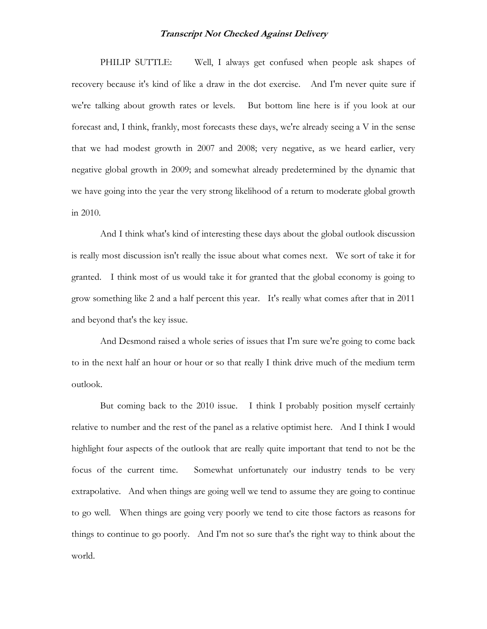PHILIP SUTTLE: Well, I always get confused when people ask shapes of recovery because it's kind of like a draw in the dot exercise. And I'm never quite sure if we're talking about growth rates or levels. But bottom line here is if you look at our forecast and, I think, frankly, most forecasts these days, we're already seeing a V in the sense that we had modest growth in 2007 and 2008; very negative, as we heard earlier, very negative global growth in 2009; and somewhat already predetermined by the dynamic that we have going into the year the very strong likelihood of a return to moderate global growth in 2010.

And I think what's kind of interesting these days about the global outlook discussion is really most discussion isn't really the issue about what comes next. We sort of take it for granted. I think most of us would take it for granted that the global economy is going to grow something like 2 and a half percent this year. It's really what comes after that in 2011 and beyond that's the key issue.

And Desmond raised a whole series of issues that I'm sure we're going to come back to in the next half an hour or hour or so that really I think drive much of the medium term outlook.

But coming back to the 2010 issue. I think I probably position myself certainly relative to number and the rest of the panel as a relative optimist here. And I think I would highlight four aspects of the outlook that are really quite important that tend to not be the focus of the current time. Somewhat unfortunately our industry tends to be very extrapolative. And when things are going well we tend to assume they are going to continue to go well. When things are going very poorly we tend to cite those factors as reasons for things to continue to go poorly. And I'm not so sure that's the right way to think about the world.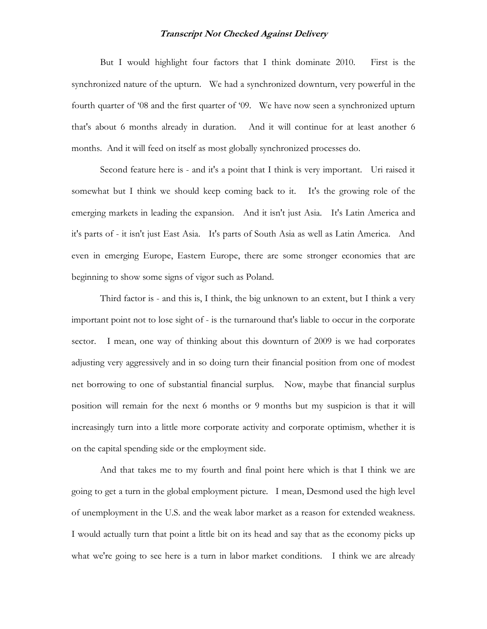But I would highlight four factors that I think dominate 2010. First is the synchronized nature of the upturn. We had a synchronized downturn, very powerful in the fourth quarter of '08 and the first quarter of '09. We have now seen a synchronized upturn that's about 6 months already in duration. And it will continue for at least another 6 months. And it will feed on itself as most globally synchronized processes do.

Second feature here is - and it's a point that I think is very important. Uri raised it somewhat but I think we should keep coming back to it. It's the growing role of the emerging markets in leading the expansion. And it isn't just Asia. It's Latin America and it's parts of - it isn't just East Asia. It's parts of South Asia as well as Latin America. And even in emerging Europe, Eastern Europe, there are some stronger economies that are beginning to show some signs of vigor such as Poland.

Third factor is - and this is, I think, the big unknown to an extent, but I think a very important point not to lose sight of - is the turnaround that's liable to occur in the corporate sector. I mean, one way of thinking about this downturn of 2009 is we had corporates adjusting very aggressively and in so doing turn their financial position from one of modest net borrowing to one of substantial financial surplus. Now, maybe that financial surplus position will remain for the next 6 months or 9 months but my suspicion is that it will increasingly turn into a little more corporate activity and corporate optimism, whether it is on the capital spending side or the employment side.

And that takes me to my fourth and final point here which is that I think we are going to get a turn in the global employment picture. I mean, Desmond used the high level of unemployment in the U.S. and the weak labor market as a reason for extended weakness. I would actually turn that point a little bit on its head and say that as the economy picks up what we're going to see here is a turn in labor market conditions. I think we are already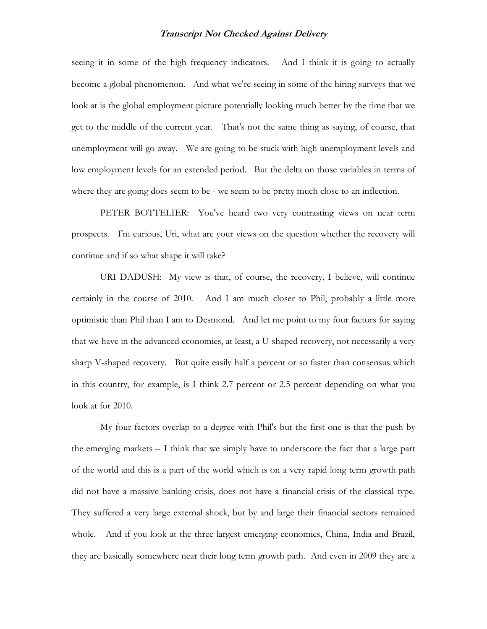seeing it in some of the high frequency indicators. And I think it is going to actually become a global phenomenon. And what we're seeing in some of the hiring surveys that we look at is the global employment picture potentially looking much better by the time that we get to the middle of the current year. That's not the same thing as saying, of course, that unemployment will go away. We are going to be stuck with high unemployment levels and low employment levels for an extended period. But the delta on those variables in terms of where they are going does seem to be - we seem to be pretty much close to an inflection.

PETER BOTTELIER: You've heard two very contrasting views on near term prospects. I'm curious, Uri, what are your views on the question whether the recovery will continue and if so what shape it will take?

URI DADUSH: My view is that, of course, the recovery, I believe, will continue certainly in the course of 2010. And I am much closer to Phil, probably a little more optimistic than Phil than I am to Desmond. And let me point to my four factors for saying that we have in the advanced economies, at least, a U-shaped recovery, not necessarily a very sharp V-shaped recovery. But quite easily half a percent or so faster than consensus which in this country, for example, is I think 2.7 percent or 2.5 percent depending on what you look at for 2010.

My four factors overlap to a degree with Phil's but the first one is that the push by the emerging markets -- I think that we simply have to underscore the fact that a large part of the world and this is a part of the world which is on a very rapid long term growth path did not have a massive banking crisis, does not have a financial crisis of the classical type. They suffered a very large external shock, but by and large their financial sectors remained whole. And if you look at the three largest emerging economies, China, India and Brazil, they are basically somewhere near their long term growth path. And even in 2009 they are a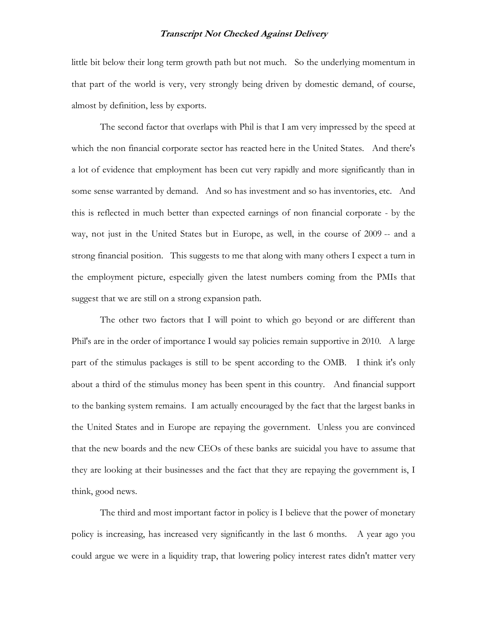little bit below their long term growth path but not much. So the underlying momentum in that part of the world is very, very strongly being driven by domestic demand, of course, almost by definition, less by exports.

The second factor that overlaps with Phil is that I am very impressed by the speed at which the non financial corporate sector has reacted here in the United States. And there's a lot of evidence that employment has been cut very rapidly and more significantly than in some sense warranted by demand. And so has investment and so has inventories, etc. And this is reflected in much better than expected earnings of non financial corporate - by the way, not just in the United States but in Europe, as well, in the course of 2009 -- and a strong financial position. This suggests to me that along with many others I expect a turn in the employment picture, especially given the latest numbers coming from the PMIs that suggest that we are still on a strong expansion path.

The other two factors that I will point to which go beyond or are different than Phil's are in the order of importance I would say policies remain supportive in 2010. A large part of the stimulus packages is still to be spent according to the OMB. I think it's only about a third of the stimulus money has been spent in this country. And financial support to the banking system remains. I am actually encouraged by the fact that the largest banks in the United States and in Europe are repaying the government. Unless you are convinced that the new boards and the new CEOs of these banks are suicidal you have to assume that they are looking at their businesses and the fact that they are repaying the government is, I think, good news.

The third and most important factor in policy is I believe that the power of monetary policy is increasing, has increased very significantly in the last 6 months. A year ago you could argue we were in a liquidity trap, that lowering policy interest rates didn't matter very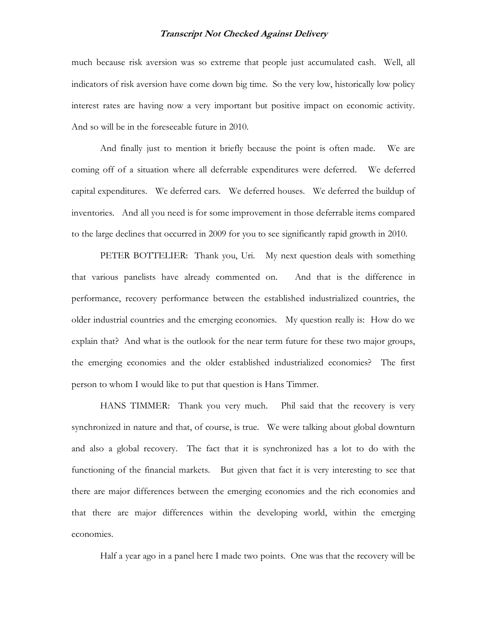much because risk aversion was so extreme that people just accumulated cash. Well, all indicators of risk aversion have come down big time. So the very low, historically low policy interest rates are having now a very important but positive impact on economic activity. And so will be in the foreseeable future in 2010.

And finally just to mention it briefly because the point is often made. We are coming off of a situation where all deferrable expenditures were deferred. We deferred capital expenditures. We deferred cars. We deferred houses. We deferred the buildup of inventories. And all you need is for some improvement in those deferrable items compared to the large declines that occurred in 2009 for you to see significantly rapid growth in 2010.

PETER BOTTELIER: Thank you, Uri. My next question deals with something that various panelists have already commented on. And that is the difference in performance, recovery performance between the established industrialized countries, the older industrial countries and the emerging economies. My question really is: How do we explain that? And what is the outlook for the near term future for these two major groups, the emerging economies and the older established industrialized economies? The first person to whom I would like to put that question is Hans Timmer.

HANS TIMMER: Thank you very much. Phil said that the recovery is very synchronized in nature and that, of course, is true. We were talking about global downturn and also a global recovery. The fact that it is synchronized has a lot to do with the functioning of the financial markets. But given that fact it is very interesting to see that there are major differences between the emerging economies and the rich economies and that there are major differences within the developing world, within the emerging economies.

Half a year ago in a panel here I made two points. One was that the recovery will be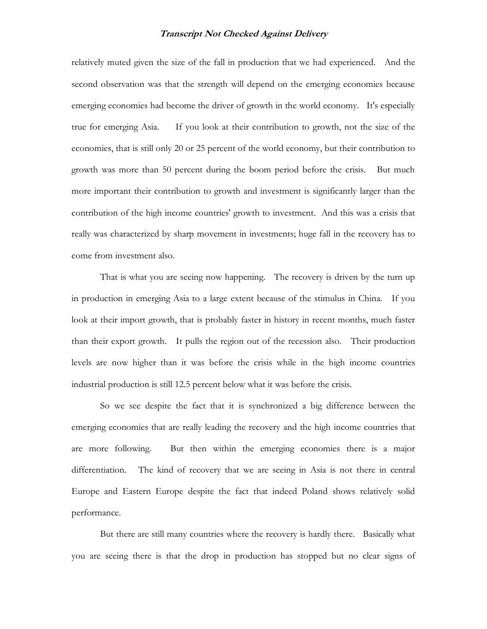relatively muted given the size of the fall in production that we had experienced. And the second observation was that the strength will depend on the emerging economies because emerging economies had become the driver of growth in the world economy. It's especially true for emerging Asia. If you look at their contribution to growth, not the size of the economies, that is still only 20 or 25 percent of the world economy, but their contribution to growth was more than 50 percent during the boom period before the crisis. But much more important their contribution to growth and investment is significantly larger than the contribution of the high income countries' growth to investment. And this was a crisis that really was characterized by sharp movement in investments; huge fall in the recovery has to come from investment also.

That is what you are seeing now happening. The recovery is driven by the turn up in production in emerging Asia to a large extent because of the stimulus in China. If you look at their import growth, that is probably faster in history in recent months, much faster than their export growth. It pulls the region out of the recession also. Their production levels are now higher than it was before the crisis while in the high income countries industrial production is still 12.5 percent below what it was before the crisis.

So we see despite the fact that it is synchronized a big difference between the emerging economies that are really leading the recovery and the high income countries that are more following. But then within the emerging economies there is a major differentiation. The kind of recovery that we are seeing in Asia is not there in central Europe and Eastern Europe despite the fact that indeed Poland shows relatively solid performance.

But there are still many countries where the recovery is hardly there. Basically what you are seeing there is that the drop in production has stopped but no clear signs of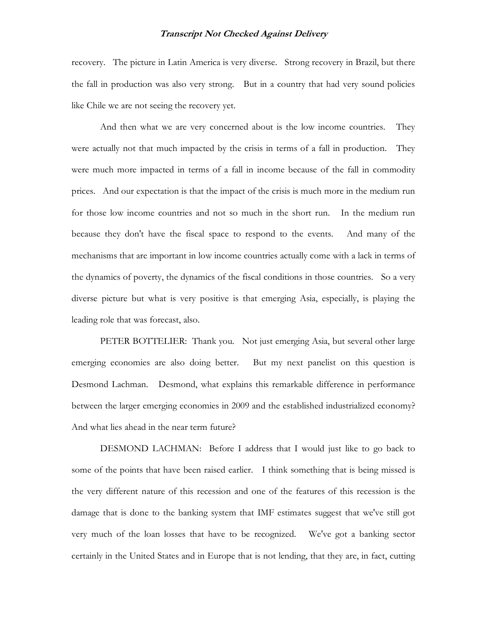recovery. The picture in Latin America is very diverse. Strong recovery in Brazil, but there the fall in production was also very strong. But in a country that had very sound policies like Chile we are not seeing the recovery yet.

And then what we are very concerned about is the low income countries. They were actually not that much impacted by the crisis in terms of a fall in production. They were much more impacted in terms of a fall in income because of the fall in commodity prices. And our expectation is that the impact of the crisis is much more in the medium run for those low income countries and not so much in the short run. In the medium run because they don't have the fiscal space to respond to the events. And many of the mechanisms that are important in low income countries actually come with a lack in terms of the dynamics of poverty, the dynamics of the fiscal conditions in those countries. So a very diverse picture but what is very positive is that emerging Asia, especially, is playing the leading role that was forecast, also.

PETER BOTTELIER: Thank you. Not just emerging Asia, but several other large emerging economies are also doing better. But my next panelist on this question is Desmond Lachman. Desmond, what explains this remarkable difference in performance between the larger emerging economies in 2009 and the established industrialized economy? And what lies ahead in the near term future?

DESMOND LACHMAN: Before I address that I would just like to go back to some of the points that have been raised earlier. I think something that is being missed is the very different nature of this recession and one of the features of this recession is the damage that is done to the banking system that IMF estimates suggest that we've still got very much of the loan losses that have to be recognized. We've got a banking sector certainly in the United States and in Europe that is not lending, that they are, in fact, cutting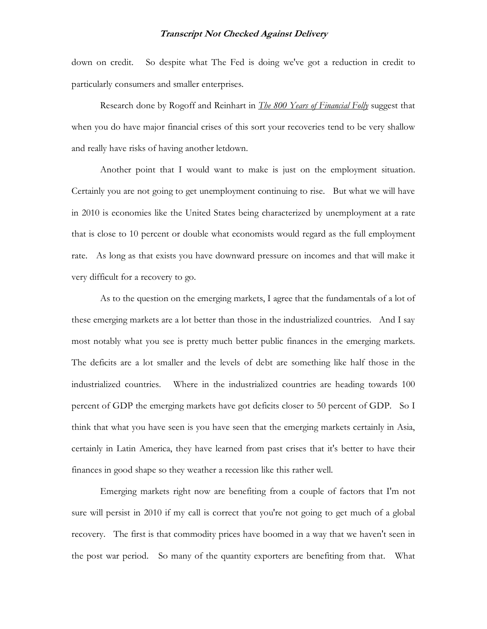down on credit. So despite what The Fed is doing we've got a reduction in credit to particularly consumers and smaller enterprises.

Research done by Rogoff and Reinhart in *The 800 Years of Financial Folly* suggest that when you do have major financial crises of this sort your recoveries tend to be very shallow and really have risks of having another letdown.

Another point that I would want to make is just on the employment situation. Certainly you are not going to get unemployment continuing to rise. But what we will have in 2010 is economies like the United States being characterized by unemployment at a rate that is close to 10 percent or double what economists would regard as the full employment rate. As long as that exists you have downward pressure on incomes and that will make it very difficult for a recovery to go.

As to the question on the emerging markets, I agree that the fundamentals of a lot of these emerging markets are a lot better than those in the industrialized countries. And I say most notably what you see is pretty much better public finances in the emerging markets. The deficits are a lot smaller and the levels of debt are something like half those in the industrialized countries. Where in the industrialized countries are heading towards 100 percent of GDP the emerging markets have got deficits closer to 50 percent of GDP. So I think that what you have seen is you have seen that the emerging markets certainly in Asia, certainly in Latin America, they have learned from past crises that it's better to have their finances in good shape so they weather a recession like this rather well.

Emerging markets right now are benefiting from a couple of factors that I'm not sure will persist in 2010 if my call is correct that you're not going to get much of a global recovery. The first is that commodity prices have boomed in a way that we haven't seen in the post war period. So many of the quantity exporters are benefiting from that. What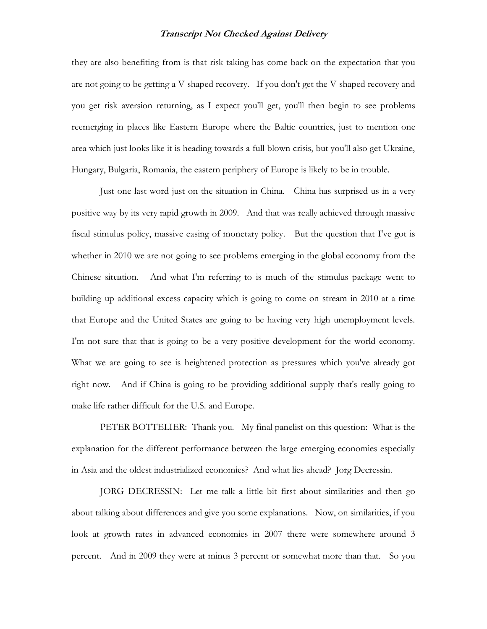they are also benefiting from is that risk taking has come back on the expectation that you are not going to be getting a V-shaped recovery. If you don't get the V-shaped recovery and you get risk aversion returning, as I expect you'll get, you'll then begin to see problems reemerging in places like Eastern Europe where the Baltic countries, just to mention one area which just looks like it is heading towards a full blown crisis, but you'll also get Ukraine, Hungary, Bulgaria, Romania, the eastern periphery of Europe is likely to be in trouble.

Just one last word just on the situation in China. China has surprised us in a very positive way by its very rapid growth in 2009. And that was really achieved through massive fiscal stimulus policy, massive easing of monetary policy. But the question that I've got is whether in 2010 we are not going to see problems emerging in the global economy from the Chinese situation. And what I'm referring to is much of the stimulus package went to building up additional excess capacity which is going to come on stream in 2010 at a time that Europe and the United States are going to be having very high unemployment levels. I'm not sure that that is going to be a very positive development for the world economy. What we are going to see is heightened protection as pressures which you've already got right now. And if China is going to be providing additional supply that's really going to make life rather difficult for the U.S. and Europe.

PETER BOTTELIER: Thank you. My final panelist on this question: What is the explanation for the different performance between the large emerging economies especially in Asia and the oldest industrialized economies? And what lies ahead? Jorg Decressin.

JORG DECRESSIN: Let me talk a little bit first about similarities and then go about talking about differences and give you some explanations. Now, on similarities, if you look at growth rates in advanced economies in 2007 there were somewhere around 3 percent. And in 2009 they were at minus 3 percent or somewhat more than that. So you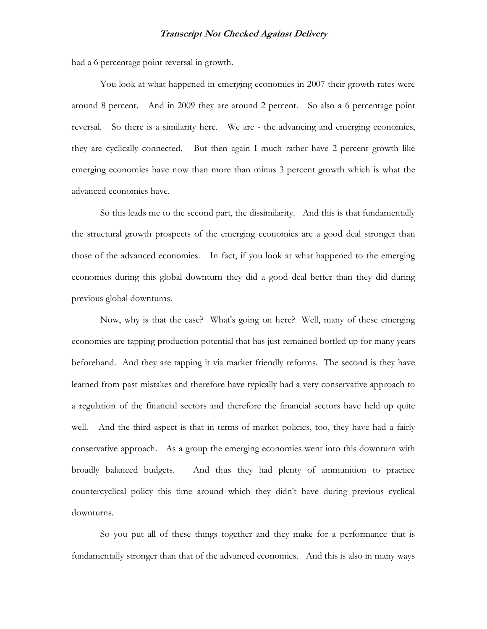had a 6 percentage point reversal in growth.

You look at what happened in emerging economies in 2007 their growth rates were around 8 percent. And in 2009 they are around 2 percent. So also a 6 percentage point reversal. So there is a similarity here. We are - the advancing and emerging economies, they are cyclically connected. But then again I much rather have 2 percent growth like emerging economies have now than more than minus 3 percent growth which is what the advanced economies have.

So this leads me to the second part, the dissimilarity. And this is that fundamentally the structural growth prospects of the emerging economies are a good deal stronger than those of the advanced economies. In fact, if you look at what happened to the emerging economies during this global downturn they did a good deal better than they did during previous global downturns.

Now, why is that the case? What's going on here? Well, many of these emerging economies are tapping production potential that has just remained bottled up for many years beforehand. And they are tapping it via market friendly reforms. The second is they have learned from past mistakes and therefore have typically had a very conservative approach to a regulation of the financial sectors and therefore the financial sectors have held up quite well. And the third aspect is that in terms of market policies, too, they have had a fairly conservative approach. As a group the emerging economies went into this downturn with broadly balanced budgets. And thus they had plenty of ammunition to practice countercyclical policy this time around which they didn't have during previous cyclical downturns.

So you put all of these things together and they make for a performance that is fundamentally stronger than that of the advanced economies. And this is also in many ways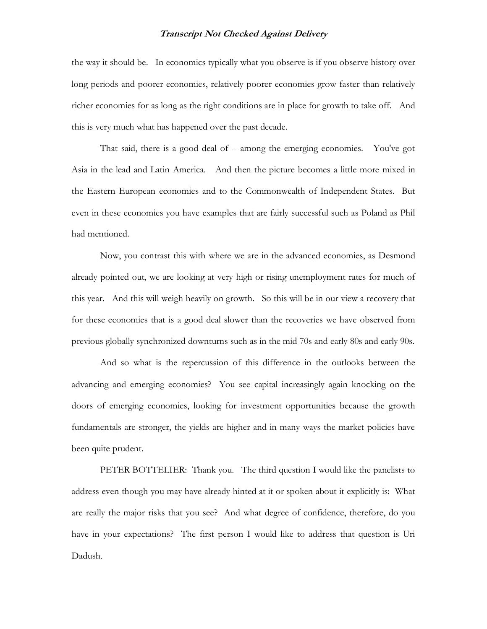the way it should be. In economics typically what you observe is if you observe history over long periods and poorer economies, relatively poorer economies grow faster than relatively richer economies for as long as the right conditions are in place for growth to take off. And this is very much what has happened over the past decade.

That said, there is a good deal of -- among the emerging economies. You've got Asia in the lead and Latin America. And then the picture becomes a little more mixed in the Eastern European economies and to the Commonwealth of Independent States. But even in these economies you have examples that are fairly successful such as Poland as Phil had mentioned.

Now, you contrast this with where we are in the advanced economies, as Desmond already pointed out, we are looking at very high or rising unemployment rates for much of this year. And this will weigh heavily on growth. So this will be in our view a recovery that for these economies that is a good deal slower than the recoveries we have observed from previous globally synchronized downturns such as in the mid 70s and early 80s and early 90s.

And so what is the repercussion of this difference in the outlooks between the advancing and emerging economies? You see capital increasingly again knocking on the doors of emerging economies, looking for investment opportunities because the growth fundamentals are stronger, the yields are higher and in many ways the market policies have been quite prudent.

PETER BOTTELIER: Thank you. The third question I would like the panelists to address even though you may have already hinted at it or spoken about it explicitly is: What are really the major risks that you see? And what degree of confidence, therefore, do you have in your expectations? The first person I would like to address that question is Uri Dadush.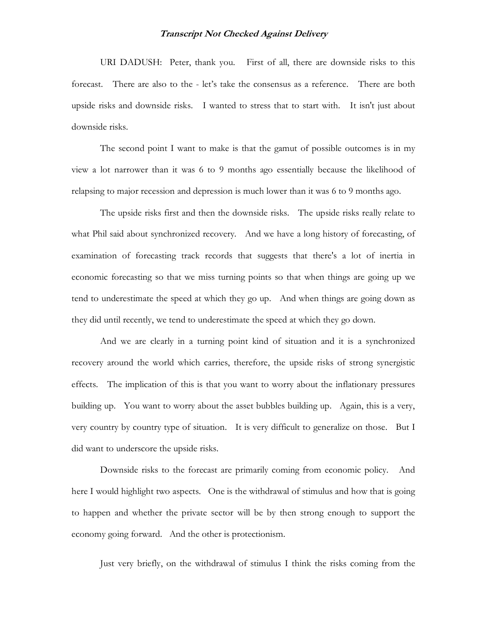URI DADUSH: Peter, thank you. First of all, there are downside risks to this forecast. There are also to the - let's take the consensus as a reference. There are both upside risks and downside risks. I wanted to stress that to start with. It isn't just about downside risks.

The second point I want to make is that the gamut of possible outcomes is in my view a lot narrower than it was 6 to 9 months ago essentially because the likelihood of relapsing to major recession and depression is much lower than it was 6 to 9 months ago.

The upside risks first and then the downside risks. The upside risks really relate to what Phil said about synchronized recovery. And we have a long history of forecasting, of examination of forecasting track records that suggests that there's a lot of inertia in economic forecasting so that we miss turning points so that when things are going up we tend to underestimate the speed at which they go up. And when things are going down as they did until recently, we tend to underestimate the speed at which they go down.

And we are clearly in a turning point kind of situation and it is a synchronized recovery around the world which carries, therefore, the upside risks of strong synergistic effects. The implication of this is that you want to worry about the inflationary pressures building up. You want to worry about the asset bubbles building up. Again, this is a very, very country by country type of situation. It is very difficult to generalize on those. But I did want to underscore the upside risks.

Downside risks to the forecast are primarily coming from economic policy. And here I would highlight two aspects. One is the withdrawal of stimulus and how that is going to happen and whether the private sector will be by then strong enough to support the economy going forward. And the other is protectionism.

Just very briefly, on the withdrawal of stimulus I think the risks coming from the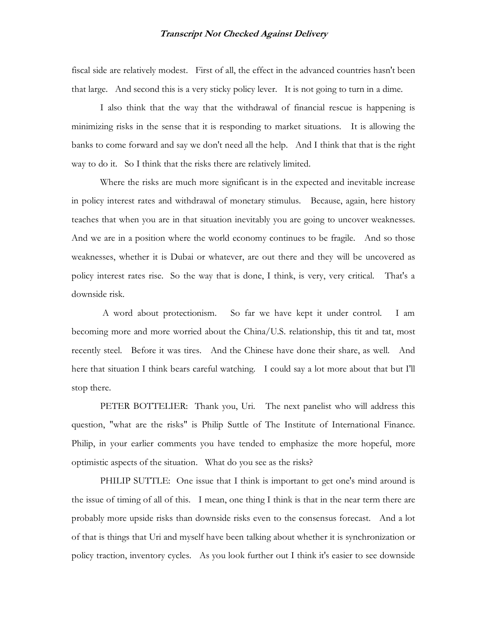fiscal side are relatively modest. First of all, the effect in the advanced countries hasn't been that large. And second this is a very sticky policy lever. It is not going to turn in a dime.

I also think that the way that the withdrawal of financial rescue is happening is minimizing risks in the sense that it is responding to market situations. It is allowing the banks to come forward and say we don't need all the help. And I think that that is the right way to do it. So I think that the risks there are relatively limited.

Where the risks are much more significant is in the expected and inevitable increase in policy interest rates and withdrawal of monetary stimulus. Because, again, here history teaches that when you are in that situation inevitably you are going to uncover weaknesses. And we are in a position where the world economy continues to be fragile. And so those weaknesses, whether it is Dubai or whatever, are out there and they will be uncovered as policy interest rates rise. So the way that is done, I think, is very, very critical. That's a downside risk.

 A word about protectionism. So far we have kept it under control. I am becoming more and more worried about the China/U.S. relationship, this tit and tat, most recently steel. Before it was tires. And the Chinese have done their share, as well. And here that situation I think bears careful watching. I could say a lot more about that but I'll stop there.

PETER BOTTELIER: Thank you, Uri. The next panelist who will address this question, "what are the risks" is Philip Suttle of The Institute of International Finance. Philip, in your earlier comments you have tended to emphasize the more hopeful, more optimistic aspects of the situation. What do you see as the risks?

PHILIP SUTTLE: One issue that I think is important to get one's mind around is the issue of timing of all of this. I mean, one thing I think is that in the near term there are probably more upside risks than downside risks even to the consensus forecast. And a lot of that is things that Uri and myself have been talking about whether it is synchronization or policy traction, inventory cycles. As you look further out I think it's easier to see downside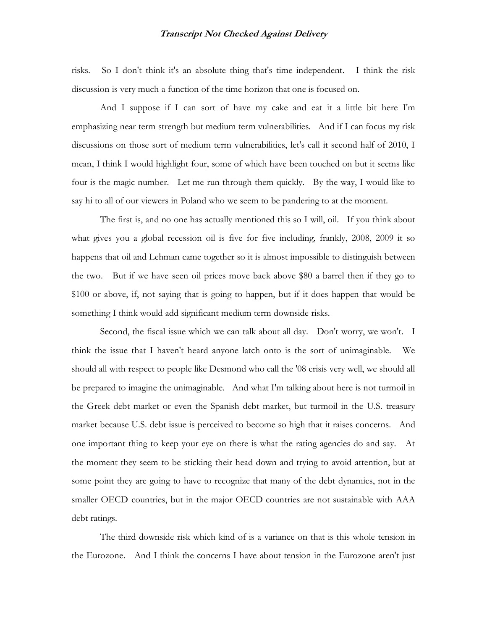risks. So I don't think it's an absolute thing that's time independent. I think the risk discussion is very much a function of the time horizon that one is focused on.

And I suppose if I can sort of have my cake and eat it a little bit here I'm emphasizing near term strength but medium term vulnerabilities. And if I can focus my risk discussions on those sort of medium term vulnerabilities, let's call it second half of 2010, I mean, I think I would highlight four, some of which have been touched on but it seems like four is the magic number. Let me run through them quickly. By the way, I would like to say hi to all of our viewers in Poland who we seem to be pandering to at the moment.

The first is, and no one has actually mentioned this so I will, oil. If you think about what gives you a global recession oil is five for five including, frankly, 2008, 2009 it so happens that oil and Lehman came together so it is almost impossible to distinguish between the two. But if we have seen oil prices move back above \$80 a barrel then if they go to \$100 or above, if, not saying that is going to happen, but if it does happen that would be something I think would add significant medium term downside risks.

Second, the fiscal issue which we can talk about all day. Don't worry, we won't. I think the issue that I haven't heard anyone latch onto is the sort of unimaginable. We should all with respect to people like Desmond who call the '08 crisis very well, we should all be prepared to imagine the unimaginable. And what I'm talking about here is not turmoil in the Greek debt market or even the Spanish debt market, but turmoil in the U.S. treasury market because U.S. debt issue is perceived to become so high that it raises concerns. And one important thing to keep your eye on there is what the rating agencies do and say. At the moment they seem to be sticking their head down and trying to avoid attention, but at some point they are going to have to recognize that many of the debt dynamics, not in the smaller OECD countries, but in the major OECD countries are not sustainable with AAA debt ratings.

The third downside risk which kind of is a variance on that is this whole tension in the Eurozone. And I think the concerns I have about tension in the Eurozone aren't just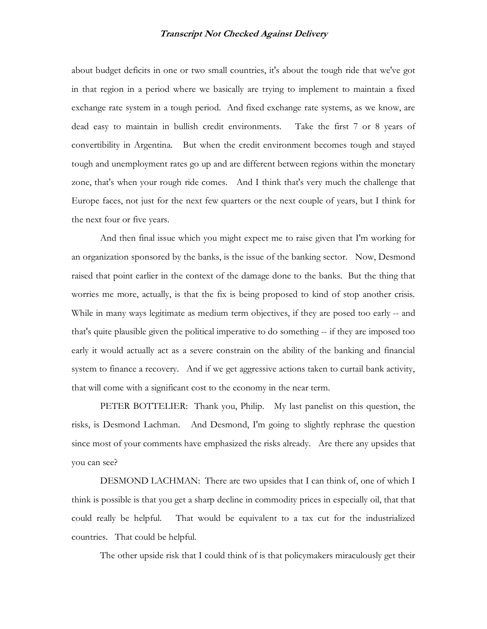about budget deficits in one or two small countries, it's about the tough ride that we've got in that region in a period where we basically are trying to implement to maintain a fixed exchange rate system in a tough period. And fixed exchange rate systems, as we know, are dead easy to maintain in bullish credit environments. Take the first 7 or 8 years of convertibility in Argentina. But when the credit environment becomes tough and stayed tough and unemployment rates go up and are different between regions within the monetary zone, that's when your rough ride comes. And I think that's very much the challenge that Europe faces, not just for the next few quarters or the next couple of years, but I think for the next four or five years.

And then final issue which you might expect me to raise given that I'm working for an organization sponsored by the banks, is the issue of the banking sector. Now, Desmond raised that point earlier in the context of the damage done to the banks. But the thing that worries me more, actually, is that the fix is being proposed to kind of stop another crisis. While in many ways legitimate as medium term objectives, if they are posed too early -- and that's quite plausible given the political imperative to do something -- if they are imposed too early it would actually act as a severe constrain on the ability of the banking and financial system to finance a recovery. And if we get aggressive actions taken to curtail bank activity, that will come with a significant cost to the economy in the near term.

PETER BOTTELIER: Thank you, Philip. My last panelist on this question, the risks, is Desmond Lachman. And Desmond, I'm going to slightly rephrase the question since most of your comments have emphasized the risks already. Are there any upsides that you can see?

DESMOND LACHMAN: There are two upsides that I can think of, one of which I think is possible is that you get a sharp decline in commodity prices in especially oil, that that could really be helpful. That would be equivalent to a tax cut for the industrialized countries. That could be helpful.

The other upside risk that I could think of is that policymakers miraculously get their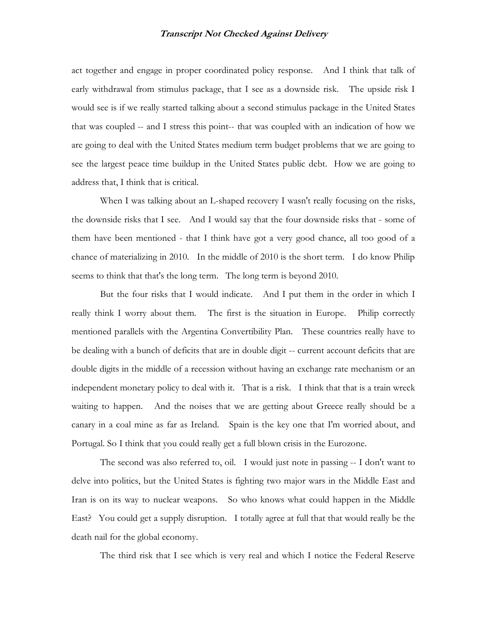act together and engage in proper coordinated policy response. And I think that talk of early withdrawal from stimulus package, that I see as a downside risk. The upside risk I would see is if we really started talking about a second stimulus package in the United States that was coupled -- and I stress this point-- that was coupled with an indication of how we are going to deal with the United States medium term budget problems that we are going to see the largest peace time buildup in the United States public debt. How we are going to address that, I think that is critical.

When I was talking about an L-shaped recovery I wasn't really focusing on the risks, the downside risks that I see. And I would say that the four downside risks that - some of them have been mentioned - that I think have got a very good chance, all too good of a chance of materializing in 2010. In the middle of 2010 is the short term. I do know Philip seems to think that that's the long term. The long term is beyond 2010.

But the four risks that I would indicate. And I put them in the order in which I really think I worry about them. The first is the situation in Europe. Philip correctly mentioned parallels with the Argentina Convertibility Plan. These countries really have to be dealing with a bunch of deficits that are in double digit -- current account deficits that are double digits in the middle of a recession without having an exchange rate mechanism or an independent monetary policy to deal with it. That is a risk. I think that that is a train wreck waiting to happen. And the noises that we are getting about Greece really should be a canary in a coal mine as far as Ireland. Spain is the key one that I'm worried about, and Portugal. So I think that you could really get a full blown crisis in the Eurozone.

The second was also referred to, oil. I would just note in passing -- I don't want to delve into politics, but the United States is fighting two major wars in the Middle East and Iran is on its way to nuclear weapons. So who knows what could happen in the Middle East? You could get a supply disruption. I totally agree at full that that would really be the death nail for the global economy.

The third risk that I see which is very real and which I notice the Federal Reserve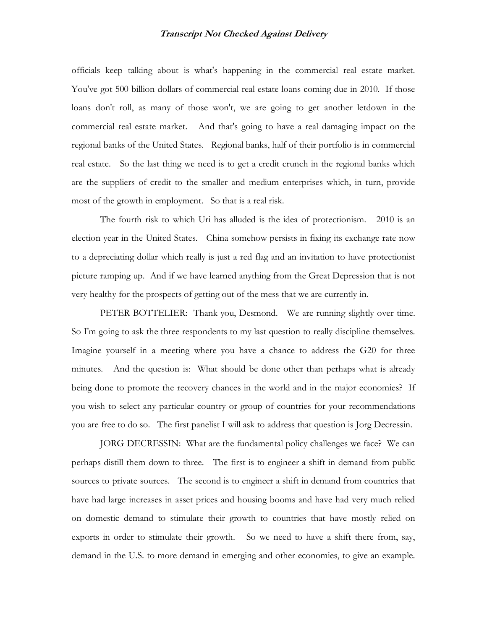officials keep talking about is what's happening in the commercial real estate market. You've got 500 billion dollars of commercial real estate loans coming due in 2010. If those loans don't roll, as many of those won't, we are going to get another letdown in the commercial real estate market. And that's going to have a real damaging impact on the regional banks of the United States. Regional banks, half of their portfolio is in commercial real estate. So the last thing we need is to get a credit crunch in the regional banks which are the suppliers of credit to the smaller and medium enterprises which, in turn, provide most of the growth in employment. So that is a real risk.

The fourth risk to which Uri has alluded is the idea of protectionism. 2010 is an election year in the United States. China somehow persists in fixing its exchange rate now to a depreciating dollar which really is just a red flag and an invitation to have protectionist picture ramping up. And if we have learned anything from the Great Depression that is not very healthy for the prospects of getting out of the mess that we are currently in.

PETER BOTTELIER: Thank you, Desmond. We are running slightly over time. So I'm going to ask the three respondents to my last question to really discipline themselves. Imagine yourself in a meeting where you have a chance to address the G20 for three minutes. And the question is: What should be done other than perhaps what is already being done to promote the recovery chances in the world and in the major economies? If you wish to select any particular country or group of countries for your recommendations you are free to do so. The first panelist I will ask to address that question is Jorg Decressin.

JORG DECRESSIN: What are the fundamental policy challenges we face? We can perhaps distill them down to three. The first is to engineer a shift in demand from public sources to private sources. The second is to engineer a shift in demand from countries that have had large increases in asset prices and housing booms and have had very much relied on domestic demand to stimulate their growth to countries that have mostly relied on exports in order to stimulate their growth. So we need to have a shift there from, say, demand in the U.S. to more demand in emerging and other economies, to give an example.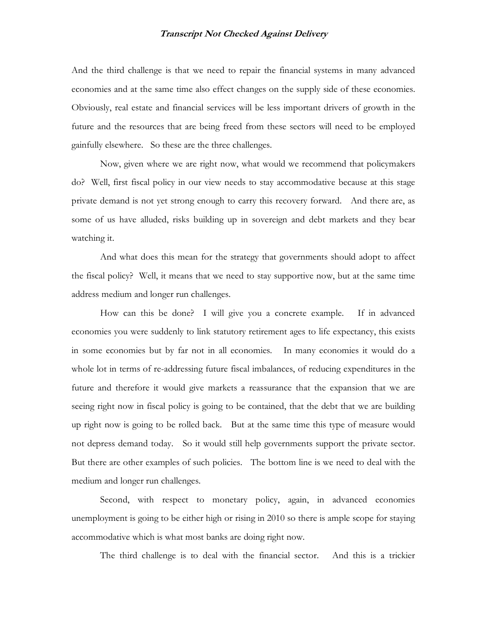And the third challenge is that we need to repair the financial systems in many advanced economies and at the same time also effect changes on the supply side of these economies. Obviously, real estate and financial services will be less important drivers of growth in the future and the resources that are being freed from these sectors will need to be employed gainfully elsewhere. So these are the three challenges.

Now, given where we are right now, what would we recommend that policymakers do? Well, first fiscal policy in our view needs to stay accommodative because at this stage private demand is not yet strong enough to carry this recovery forward. And there are, as some of us have alluded, risks building up in sovereign and debt markets and they bear watching it.

And what does this mean for the strategy that governments should adopt to affect the fiscal policy? Well, it means that we need to stay supportive now, but at the same time address medium and longer run challenges.

How can this be done? I will give you a concrete example. If in advanced economies you were suddenly to link statutory retirement ages to life expectancy, this exists in some economies but by far not in all economies. In many economies it would do a whole lot in terms of re-addressing future fiscal imbalances, of reducing expenditures in the future and therefore it would give markets a reassurance that the expansion that we are seeing right now in fiscal policy is going to be contained, that the debt that we are building up right now is going to be rolled back. But at the same time this type of measure would not depress demand today. So it would still help governments support the private sector. But there are other examples of such policies. The bottom line is we need to deal with the medium and longer run challenges.

Second, with respect to monetary policy, again, in advanced economies unemployment is going to be either high or rising in 2010 so there is ample scope for staying accommodative which is what most banks are doing right now.

The third challenge is to deal with the financial sector. And this is a trickier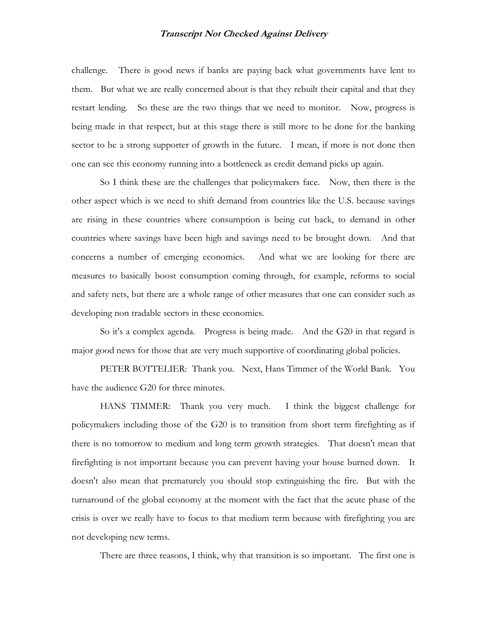challenge. There is good news if banks are paying back what governments have lent to them. But what we are really concerned about is that they rebuilt their capital and that they restart lending. So these are the two things that we need to monitor. Now, progress is being made in that respect, but at this stage there is still more to be done for the banking sector to be a strong supporter of growth in the future. I mean, if more is not done then one can see this economy running into a bottleneck as credit demand picks up again.

So I think these are the challenges that policymakers face. Now, then there is the other aspect which is we need to shift demand from countries like the U.S. because savings are rising in these countries where consumption is being cut back, to demand in other countries where savings have been high and savings need to be brought down. And that concerns a number of emerging economies. And what we are looking for there are measures to basically boost consumption coming through, for example, reforms to social and safety nets, but there are a whole range of other measures that one can consider such as developing non tradable sectors in these economies.

So it's a complex agenda. Progress is being made. And the G20 in that regard is major good news for those that are very much supportive of coordinating global policies.

PETER BOTTELIER: Thank you. Next, Hans Timmer of the World Bank. You have the audience G20 for three minutes.

HANS TIMMER: Thank you very much. I think the biggest challenge for policymakers including those of the G20 is to transition from short term firefighting as if there is no tomorrow to medium and long term growth strategies. That doesn't mean that firefighting is not important because you can prevent having your house burned down. It doesn't also mean that prematurely you should stop extinguishing the fire. But with the turnaround of the global economy at the moment with the fact that the acute phase of the crisis is over we really have to focus to that medium term because with firefighting you are not developing new terms.

There are three reasons, I think, why that transition is so important. The first one is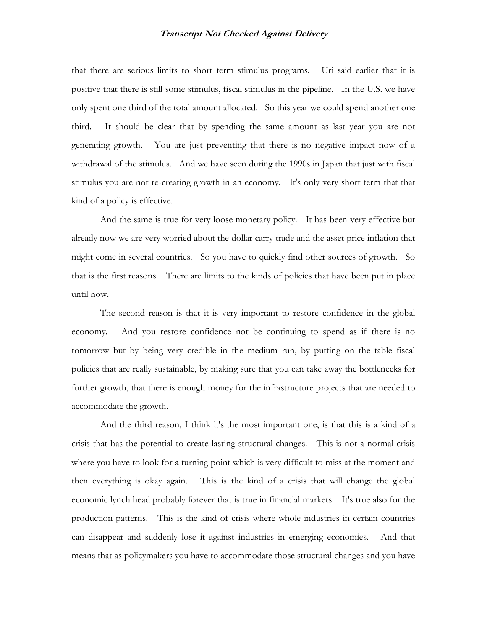that there are serious limits to short term stimulus programs. Uri said earlier that it is positive that there is still some stimulus, fiscal stimulus in the pipeline. In the U.S. we have only spent one third of the total amount allocated. So this year we could spend another one third. It should be clear that by spending the same amount as last year you are not generating growth. You are just preventing that there is no negative impact now of a withdrawal of the stimulus. And we have seen during the 1990s in Japan that just with fiscal stimulus you are not re-creating growth in an economy. It's only very short term that that kind of a policy is effective.

And the same is true for very loose monetary policy. It has been very effective but already now we are very worried about the dollar carry trade and the asset price inflation that might come in several countries. So you have to quickly find other sources of growth. So that is the first reasons. There are limits to the kinds of policies that have been put in place until now.

The second reason is that it is very important to restore confidence in the global economy. And you restore confidence not be continuing to spend as if there is no tomorrow but by being very credible in the medium run, by putting on the table fiscal policies that are really sustainable, by making sure that you can take away the bottlenecks for further growth, that there is enough money for the infrastructure projects that are needed to accommodate the growth.

And the third reason, I think it's the most important one, is that this is a kind of a crisis that has the potential to create lasting structural changes. This is not a normal crisis where you have to look for a turning point which is very difficult to miss at the moment and then everything is okay again. This is the kind of a crisis that will change the global economic lynch head probably forever that is true in financial markets. It's true also for the production patterns. This is the kind of crisis where whole industries in certain countries can disappear and suddenly lose it against industries in emerging economies. And that means that as policymakers you have to accommodate those structural changes and you have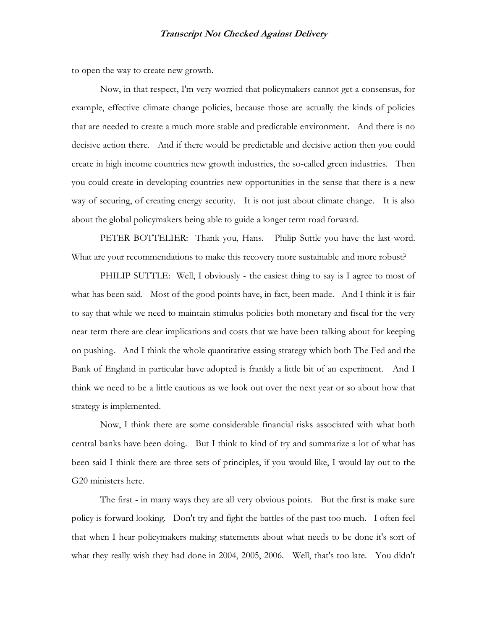to open the way to create new growth.

Now, in that respect, I'm very worried that policymakers cannot get a consensus, for example, effective climate change policies, because those are actually the kinds of policies that are needed to create a much more stable and predictable environment. And there is no decisive action there. And if there would be predictable and decisive action then you could create in high income countries new growth industries, the so-called green industries. Then you could create in developing countries new opportunities in the sense that there is a new way of securing, of creating energy security. It is not just about climate change. It is also about the global policymakers being able to guide a longer term road forward.

PETER BOTTELIER: Thank you, Hans. Philip Suttle you have the last word. What are your recommendations to make this recovery more sustainable and more robust?

PHILIP SUTTLE: Well, I obviously - the easiest thing to say is I agree to most of what has been said. Most of the good points have, in fact, been made. And I think it is fair to say that while we need to maintain stimulus policies both monetary and fiscal for the very near term there are clear implications and costs that we have been talking about for keeping on pushing. And I think the whole quantitative easing strategy which both The Fed and the Bank of England in particular have adopted is frankly a little bit of an experiment. And I think we need to be a little cautious as we look out over the next year or so about how that strategy is implemented.

Now, I think there are some considerable financial risks associated with what both central banks have been doing. But I think to kind of try and summarize a lot of what has been said I think there are three sets of principles, if you would like, I would lay out to the G20 ministers here.

The first - in many ways they are all very obvious points. But the first is make sure policy is forward looking. Don't try and fight the battles of the past too much. I often feel that when I hear policymakers making statements about what needs to be done it's sort of what they really wish they had done in 2004, 2005, 2006. Well, that's too late. You didn't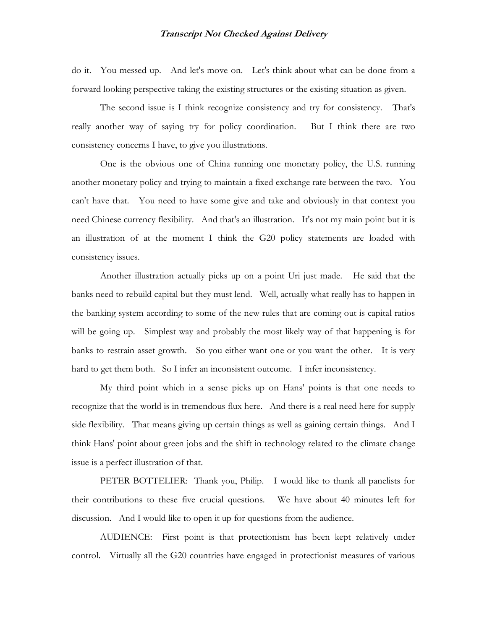do it. You messed up. And let's move on. Let's think about what can be done from a forward looking perspective taking the existing structures or the existing situation as given.

The second issue is I think recognize consistency and try for consistency. That's really another way of saying try for policy coordination. But I think there are two consistency concerns I have, to give you illustrations.

One is the obvious one of China running one monetary policy, the U.S. running another monetary policy and trying to maintain a fixed exchange rate between the two. You can't have that. You need to have some give and take and obviously in that context you need Chinese currency flexibility. And that's an illustration. It's not my main point but it is an illustration of at the moment I think the G20 policy statements are loaded with consistency issues.

Another illustration actually picks up on a point Uri just made. He said that the banks need to rebuild capital but they must lend. Well, actually what really has to happen in the banking system according to some of the new rules that are coming out is capital ratios will be going up. Simplest way and probably the most likely way of that happening is for banks to restrain asset growth. So you either want one or you want the other. It is very hard to get them both. So I infer an inconsistent outcome. I infer inconsistency.

My third point which in a sense picks up on Hans' points is that one needs to recognize that the world is in tremendous flux here. And there is a real need here for supply side flexibility. That means giving up certain things as well as gaining certain things. And I think Hans' point about green jobs and the shift in technology related to the climate change issue is a perfect illustration of that.

PETER BOTTELIER: Thank you, Philip. I would like to thank all panelists for their contributions to these five crucial questions. We have about 40 minutes left for discussion. And I would like to open it up for questions from the audience.

AUDIENCE: First point is that protectionism has been kept relatively under control. Virtually all the G20 countries have engaged in protectionist measures of various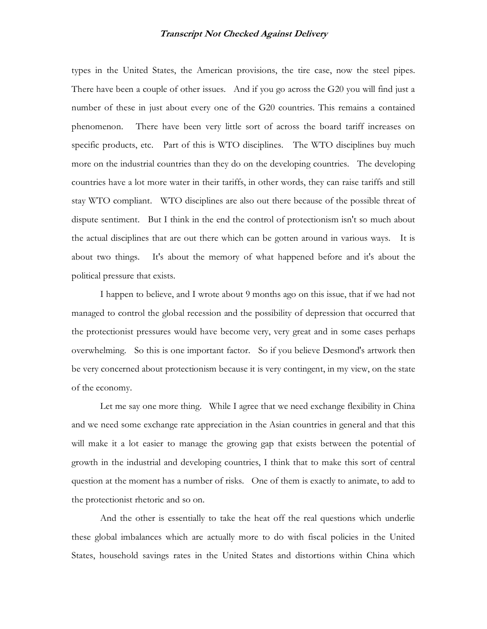types in the United States, the American provisions, the tire case, now the steel pipes. There have been a couple of other issues. And if you go across the G20 you will find just a number of these in just about every one of the G20 countries. This remains a contained phenomenon. There have been very little sort of across the board tariff increases on specific products, etc. Part of this is WTO disciplines. The WTO disciplines buy much more on the industrial countries than they do on the developing countries. The developing countries have a lot more water in their tariffs, in other words, they can raise tariffs and still stay WTO compliant. WTO disciplines are also out there because of the possible threat of dispute sentiment. But I think in the end the control of protectionism isn't so much about the actual disciplines that are out there which can be gotten around in various ways. It is about two things. It's about the memory of what happened before and it's about the political pressure that exists.

I happen to believe, and I wrote about 9 months ago on this issue, that if we had not managed to control the global recession and the possibility of depression that occurred that the protectionist pressures would have become very, very great and in some cases perhaps overwhelming. So this is one important factor. So if you believe Desmond's artwork then be very concerned about protectionism because it is very contingent, in my view, on the state of the economy.

Let me say one more thing. While I agree that we need exchange flexibility in China and we need some exchange rate appreciation in the Asian countries in general and that this will make it a lot easier to manage the growing gap that exists between the potential of growth in the industrial and developing countries, I think that to make this sort of central question at the moment has a number of risks. One of them is exactly to animate, to add to the protectionist rhetoric and so on.

And the other is essentially to take the heat off the real questions which underlie these global imbalances which are actually more to do with fiscal policies in the United States, household savings rates in the United States and distortions within China which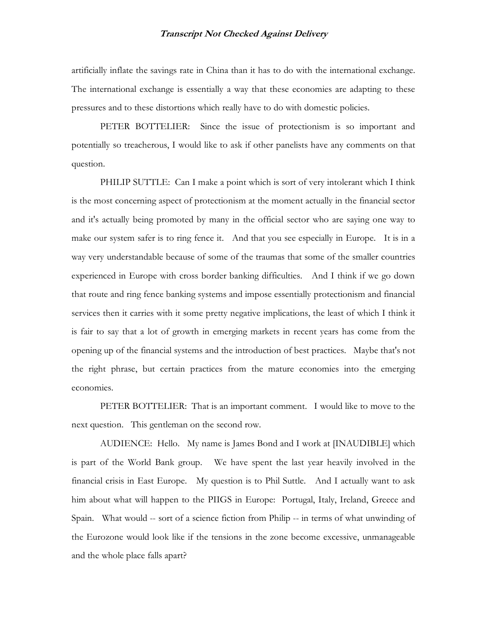artificially inflate the savings rate in China than it has to do with the international exchange. The international exchange is essentially a way that these economies are adapting to these pressures and to these distortions which really have to do with domestic policies.

PETER BOTTELIER: Since the issue of protectionism is so important and potentially so treacherous, I would like to ask if other panelists have any comments on that question.

PHILIP SUTTLE: Can I make a point which is sort of very intolerant which I think is the most concerning aspect of protectionism at the moment actually in the financial sector and it's actually being promoted by many in the official sector who are saying one way to make our system safer is to ring fence it. And that you see especially in Europe. It is in a way very understandable because of some of the traumas that some of the smaller countries experienced in Europe with cross border banking difficulties. And I think if we go down that route and ring fence banking systems and impose essentially protectionism and financial services then it carries with it some pretty negative implications, the least of which I think it is fair to say that a lot of growth in emerging markets in recent years has come from the opening up of the financial systems and the introduction of best practices. Maybe that's not the right phrase, but certain practices from the mature economies into the emerging economies.

PETER BOTTELIER: That is an important comment. I would like to move to the next question. This gentleman on the second row.

AUDIENCE: Hello. My name is James Bond and I work at [INAUDIBLE] which is part of the World Bank group. We have spent the last year heavily involved in the financial crisis in East Europe. My question is to Phil Suttle. And I actually want to ask him about what will happen to the PIIGS in Europe: Portugal, Italy, Ireland, Greece and Spain. What would -- sort of a science fiction from Philip -- in terms of what unwinding of the Eurozone would look like if the tensions in the zone become excessive, unmanageable and the whole place falls apart?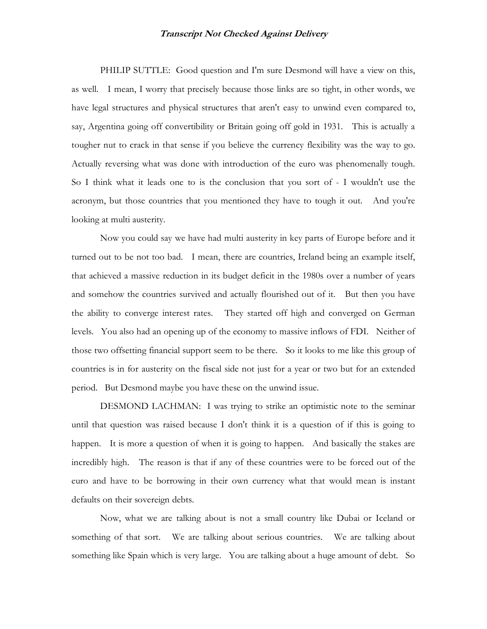PHILIP SUTTLE: Good question and I'm sure Desmond will have a view on this, as well. I mean, I worry that precisely because those links are so tight, in other words, we have legal structures and physical structures that aren't easy to unwind even compared to, say, Argentina going off convertibility or Britain going off gold in 1931. This is actually a tougher nut to crack in that sense if you believe the currency flexibility was the way to go. Actually reversing what was done with introduction of the euro was phenomenally tough. So I think what it leads one to is the conclusion that you sort of - I wouldn't use the acronym, but those countries that you mentioned they have to tough it out. And you're looking at multi austerity.

Now you could say we have had multi austerity in key parts of Europe before and it turned out to be not too bad. I mean, there are countries, Ireland being an example itself, that achieved a massive reduction in its budget deficit in the 1980s over a number of years and somehow the countries survived and actually flourished out of it. But then you have the ability to converge interest rates. They started off high and converged on German levels. You also had an opening up of the economy to massive inflows of FDI. Neither of those two offsetting financial support seem to be there. So it looks to me like this group of countries is in for austerity on the fiscal side not just for a year or two but for an extended period. But Desmond maybe you have these on the unwind issue.

DESMOND LACHMAN: I was trying to strike an optimistic note to the seminar until that question was raised because I don't think it is a question of if this is going to happen. It is more a question of when it is going to happen. And basically the stakes are incredibly high. The reason is that if any of these countries were to be forced out of the euro and have to be borrowing in their own currency what that would mean is instant defaults on their sovereign debts.

Now, what we are talking about is not a small country like Dubai or Iceland or something of that sort. We are talking about serious countries. We are talking about something like Spain which is very large. You are talking about a huge amount of debt. So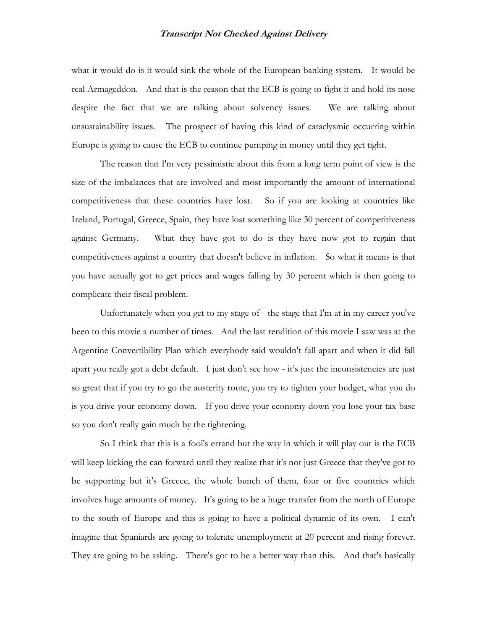what it would do is it would sink the whole of the European banking system. It would be real Armageddon. And that is the reason that the ECB is going to fight it and hold its nose despite the fact that we are talking about solvency issues. We are talking about unsustainability issues. The prospect of having this kind of cataclysmic occurring within Europe is going to cause the ECB to continue pumping in money until they get tight.

The reason that I'm very pessimistic about this from a long term point of view is the size of the imbalances that are involved and most importantly the amount of international competitiveness that these countries have lost. So if you are looking at countries like Ireland, Portugal, Greece, Spain, they have lost something like 30 percent of competitiveness against Germany. What they have got to do is they have now got to regain that competitiveness against a country that doesn't believe in inflation. So what it means is that you have actually got to get prices and wages falling by 30 percent which is then going to complicate their fiscal problem.

Unfortunately when you get to my stage of - the stage that I'm at in my career you've been to this movie a number of times. And the last rendition of this movie I saw was at the Argentine Convertibility Plan which everybody said wouldn't fall apart and when it did fall apart you really got a debt default. I just don't see how - it's just the inconsistencies are just so great that if you try to go the austerity route, you try to tighten your budget, what you do is you drive your economy down. If you drive your economy down you lose your tax base so you don't really gain much by the tightening.

So I think that this is a fool's errand but the way in which it will play out is the ECB will keep kicking the can forward until they realize that it's not just Greece that they've got to be supporting but it's Greece, the whole bunch of them, four or five countries which involves huge amounts of money. It's going to be a huge transfer from the north of Europe to the south of Europe and this is going to have a political dynamic of its own. I can't imagine that Spaniards are going to tolerate unemployment at 20 percent and rising forever. They are going to be asking. There's got to be a better way than this. And that's basically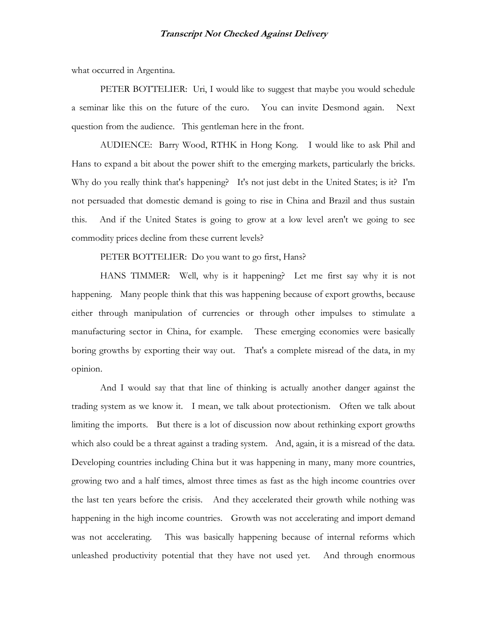what occurred in Argentina.

PETER BOTTELIER: Uri, I would like to suggest that maybe you would schedule a seminar like this on the future of the euro. You can invite Desmond again. Next question from the audience. This gentleman here in the front.

AUDIENCE: Barry Wood, RTHK in Hong Kong. I would like to ask Phil and Hans to expand a bit about the power shift to the emerging markets, particularly the bricks. Why do you really think that's happening? It's not just debt in the United States; is it? I'm not persuaded that domestic demand is going to rise in China and Brazil and thus sustain this. And if the United States is going to grow at a low level aren't we going to see commodity prices decline from these current levels?

PETER BOTTELIER: Do you want to go first, Hans?

HANS TIMMER: Well, why is it happening? Let me first say why it is not happening. Many people think that this was happening because of export growths, because either through manipulation of currencies or through other impulses to stimulate a manufacturing sector in China, for example. These emerging economies were basically boring growths by exporting their way out. That's a complete misread of the data, in my opinion.

And I would say that that line of thinking is actually another danger against the trading system as we know it. I mean, we talk about protectionism. Often we talk about limiting the imports. But there is a lot of discussion now about rethinking export growths which also could be a threat against a trading system. And, again, it is a misread of the data. Developing countries including China but it was happening in many, many more countries, growing two and a half times, almost three times as fast as the high income countries over the last ten years before the crisis. And they accelerated their growth while nothing was happening in the high income countries. Growth was not accelerating and import demand was not accelerating. This was basically happening because of internal reforms which unleashed productivity potential that they have not used yet. And through enormous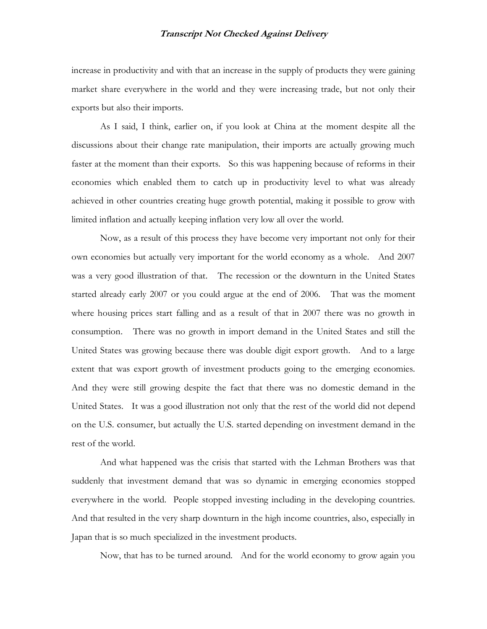increase in productivity and with that an increase in the supply of products they were gaining market share everywhere in the world and they were increasing trade, but not only their exports but also their imports.

As I said, I think, earlier on, if you look at China at the moment despite all the discussions about their change rate manipulation, their imports are actually growing much faster at the moment than their exports. So this was happening because of reforms in their economies which enabled them to catch up in productivity level to what was already achieved in other countries creating huge growth potential, making it possible to grow with limited inflation and actually keeping inflation very low all over the world.

Now, as a result of this process they have become very important not only for their own economies but actually very important for the world economy as a whole. And 2007 was a very good illustration of that. The recession or the downturn in the United States started already early 2007 or you could argue at the end of 2006. That was the moment where housing prices start falling and as a result of that in 2007 there was no growth in consumption. There was no growth in import demand in the United States and still the United States was growing because there was double digit export growth. And to a large extent that was export growth of investment products going to the emerging economies. And they were still growing despite the fact that there was no domestic demand in the United States. It was a good illustration not only that the rest of the world did not depend on the U.S. consumer, but actually the U.S. started depending on investment demand in the rest of the world.

And what happened was the crisis that started with the Lehman Brothers was that suddenly that investment demand that was so dynamic in emerging economies stopped everywhere in the world. People stopped investing including in the developing countries. And that resulted in the very sharp downturn in the high income countries, also, especially in Japan that is so much specialized in the investment products.

Now, that has to be turned around. And for the world economy to grow again you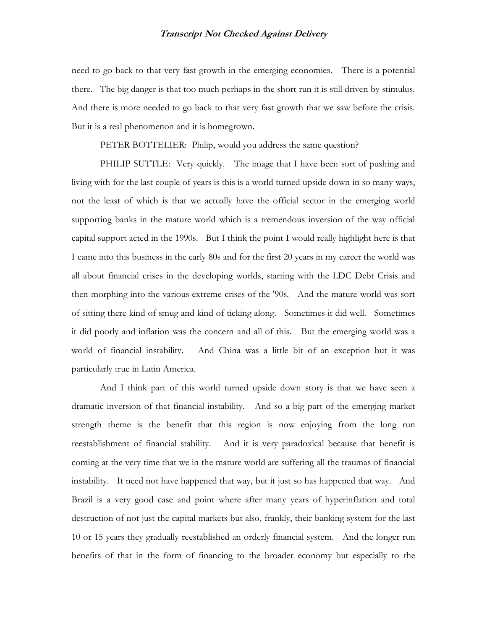need to go back to that very fast growth in the emerging economies. There is a potential there. The big danger is that too much perhaps in the short run it is still driven by stimulus. And there is more needed to go back to that very fast growth that we saw before the crisis. But it is a real phenomenon and it is homegrown.

PETER BOTTELIER: Philip, would you address the same question?

PHILIP SUTTLE: Very quickly. The image that I have been sort of pushing and living with for the last couple of years is this is a world turned upside down in so many ways, not the least of which is that we actually have the official sector in the emerging world supporting banks in the mature world which is a tremendous inversion of the way official capital support acted in the 1990s. But I think the point I would really highlight here is that I came into this business in the early 80s and for the first 20 years in my career the world was all about financial crises in the developing worlds, starting with the LDC Debt Crisis and then morphing into the various extreme crises of the '90s. And the mature world was sort of sitting there kind of smug and kind of ticking along. Sometimes it did well. Sometimes it did poorly and inflation was the concern and all of this. But the emerging world was a world of financial instability. And China was a little bit of an exception but it was particularly true in Latin America.

And I think part of this world turned upside down story is that we have seen a dramatic inversion of that financial instability. And so a big part of the emerging market strength theme is the benefit that this region is now enjoying from the long run reestablishment of financial stability. And it is very paradoxical because that benefit is coming at the very time that we in the mature world are suffering all the traumas of financial instability. It need not have happened that way, but it just so has happened that way. And Brazil is a very good case and point where after many years of hyperinflation and total destruction of not just the capital markets but also, frankly, their banking system for the last 10 or 15 years they gradually reestablished an orderly financial system. And the longer run benefits of that in the form of financing to the broader economy but especially to the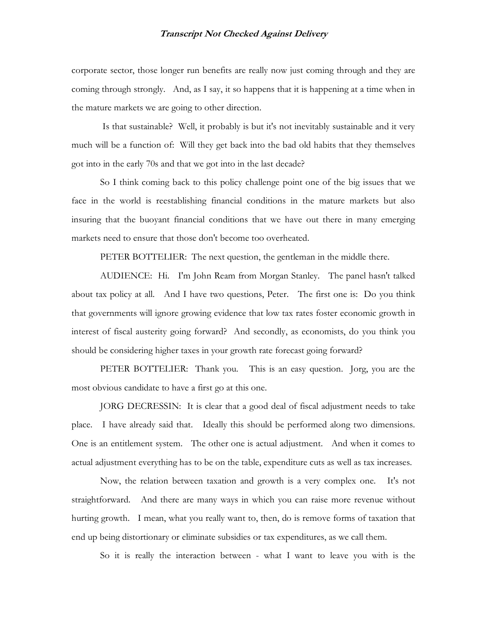corporate sector, those longer run benefits are really now just coming through and they are coming through strongly. And, as I say, it so happens that it is happening at a time when in the mature markets we are going to other direction.

 Is that sustainable? Well, it probably is but it's not inevitably sustainable and it very much will be a function of: Will they get back into the bad old habits that they themselves got into in the early 70s and that we got into in the last decade?

So I think coming back to this policy challenge point one of the big issues that we face in the world is reestablishing financial conditions in the mature markets but also insuring that the buoyant financial conditions that we have out there in many emerging markets need to ensure that those don't become too overheated.

PETER BOTTELIER: The next question, the gentleman in the middle there.

AUDIENCE: Hi. I'm John Ream from Morgan Stanley. The panel hasn't talked about tax policy at all. And I have two questions, Peter. The first one is: Do you think that governments will ignore growing evidence that low tax rates foster economic growth in interest of fiscal austerity going forward? And secondly, as economists, do you think you should be considering higher taxes in your growth rate forecast going forward?

PETER BOTTELIER: Thank you. This is an easy question. Jorg, you are the most obvious candidate to have a first go at this one.

JORG DECRESSIN: It is clear that a good deal of fiscal adjustment needs to take place. I have already said that. Ideally this should be performed along two dimensions. One is an entitlement system. The other one is actual adjustment. And when it comes to actual adjustment everything has to be on the table, expenditure cuts as well as tax increases.

Now, the relation between taxation and growth is a very complex one. It's not straightforward. And there are many ways in which you can raise more revenue without hurting growth. I mean, what you really want to, then, do is remove forms of taxation that end up being distortionary or eliminate subsidies or tax expenditures, as we call them.

So it is really the interaction between - what I want to leave you with is the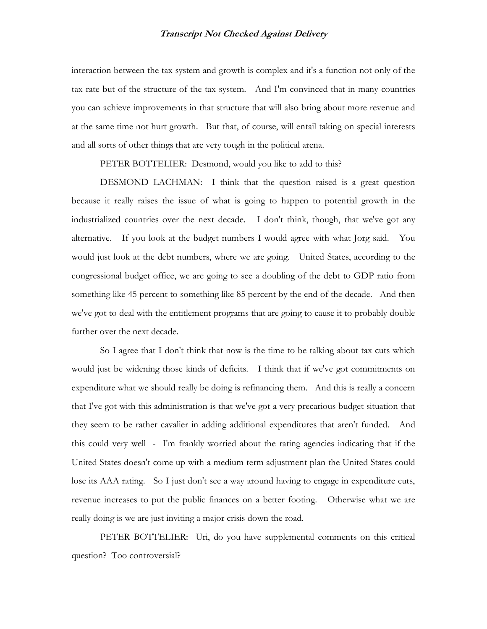interaction between the tax system and growth is complex and it's a function not only of the tax rate but of the structure of the tax system. And I'm convinced that in many countries you can achieve improvements in that structure that will also bring about more revenue and at the same time not hurt growth. But that, of course, will entail taking on special interests and all sorts of other things that are very tough in the political arena.

PETER BOTTELIER: Desmond, would you like to add to this?

DESMOND LACHMAN: I think that the question raised is a great question because it really raises the issue of what is going to happen to potential growth in the industrialized countries over the next decade. I don't think, though, that we've got any alternative. If you look at the budget numbers I would agree with what Jorg said. You would just look at the debt numbers, where we are going. United States, according to the congressional budget office, we are going to see a doubling of the debt to GDP ratio from something like 45 percent to something like 85 percent by the end of the decade. And then we've got to deal with the entitlement programs that are going to cause it to probably double further over the next decade.

So I agree that I don't think that now is the time to be talking about tax cuts which would just be widening those kinds of deficits. I think that if we've got commitments on expenditure what we should really be doing is refinancing them. And this is really a concern that I've got with this administration is that we've got a very precarious budget situation that they seem to be rather cavalier in adding additional expenditures that aren't funded. And this could very well - I'm frankly worried about the rating agencies indicating that if the United States doesn't come up with a medium term adjustment plan the United States could lose its AAA rating. So I just don't see a way around having to engage in expenditure cuts, revenue increases to put the public finances on a better footing. Otherwise what we are really doing is we are just inviting a major crisis down the road.

PETER BOTTELIER: Uri, do you have supplemental comments on this critical question? Too controversial?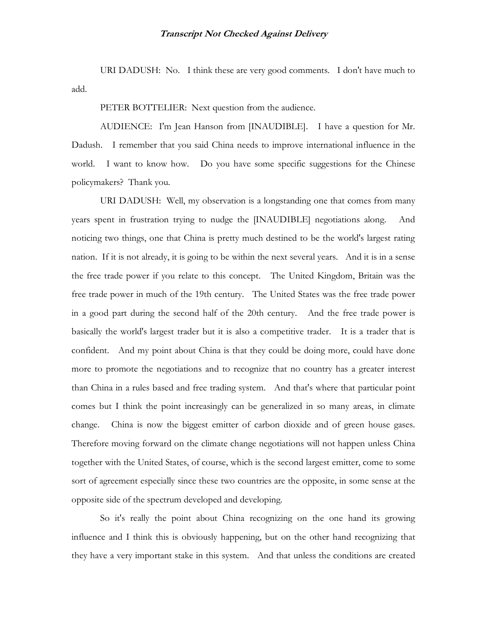URI DADUSH: No. I think these are very good comments. I don't have much to add.

PETER BOTTELIER: Next question from the audience.

AUDIENCE: I'm Jean Hanson from [INAUDIBLE]. I have a question for Mr. Dadush. I remember that you said China needs to improve international influence in the world. I want to know how. Do you have some specific suggestions for the Chinese policymakers? Thank you.

URI DADUSH: Well, my observation is a longstanding one that comes from many years spent in frustration trying to nudge the [INAUDIBLE] negotiations along. And noticing two things, one that China is pretty much destined to be the world's largest rating nation. If it is not already, it is going to be within the next several years. And it is in a sense the free trade power if you relate to this concept. The United Kingdom, Britain was the free trade power in much of the 19th century. The United States was the free trade power in a good part during the second half of the 20th century. And the free trade power is basically the world's largest trader but it is also a competitive trader. It is a trader that is confident. And my point about China is that they could be doing more, could have done more to promote the negotiations and to recognize that no country has a greater interest than China in a rules based and free trading system. And that's where that particular point comes but I think the point increasingly can be generalized in so many areas, in climate change. China is now the biggest emitter of carbon dioxide and of green house gases. Therefore moving forward on the climate change negotiations will not happen unless China together with the United States, of course, which is the second largest emitter, come to some sort of agreement especially since these two countries are the opposite, in some sense at the opposite side of the spectrum developed and developing.

So it's really the point about China recognizing on the one hand its growing influence and I think this is obviously happening, but on the other hand recognizing that they have a very important stake in this system. And that unless the conditions are created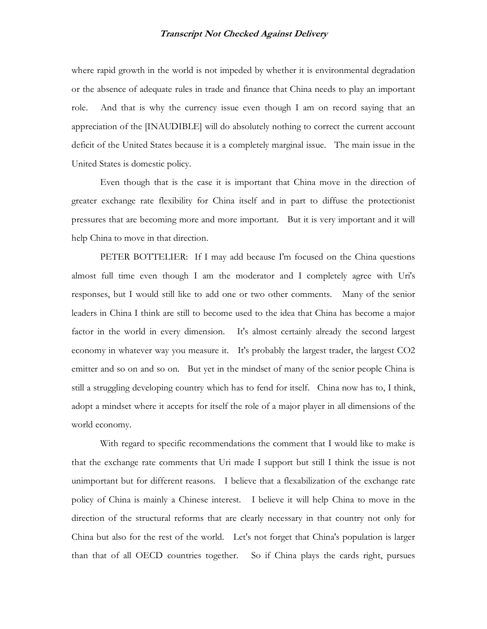where rapid growth in the world is not impeded by whether it is environmental degradation or the absence of adequate rules in trade and finance that China needs to play an important role. And that is why the currency issue even though I am on record saying that an appreciation of the [INAUDIBLE] will do absolutely nothing to correct the current account deficit of the United States because it is a completely marginal issue. The main issue in the United States is domestic policy.

Even though that is the case it is important that China move in the direction of greater exchange rate flexibility for China itself and in part to diffuse the protectionist pressures that are becoming more and more important. But it is very important and it will help China to move in that direction.

PETER BOTTELIER: If I may add because I'm focused on the China questions almost full time even though I am the moderator and I completely agree with Uri's responses, but I would still like to add one or two other comments. Many of the senior leaders in China I think are still to become used to the idea that China has become a major factor in the world in every dimension. It's almost certainly already the second largest economy in whatever way you measure it. It's probably the largest trader, the largest CO2 emitter and so on and so on. But yet in the mindset of many of the senior people China is still a struggling developing country which has to fend for itself. China now has to, I think, adopt a mindset where it accepts for itself the role of a major player in all dimensions of the world economy.

With regard to specific recommendations the comment that I would like to make is that the exchange rate comments that Uri made I support but still I think the issue is not unimportant but for different reasons. I believe that a flexabilization of the exchange rate policy of China is mainly a Chinese interest. I believe it will help China to move in the direction of the structural reforms that are clearly necessary in that country not only for China but also for the rest of the world. Let's not forget that China's population is larger than that of all OECD countries together. So if China plays the cards right, pursues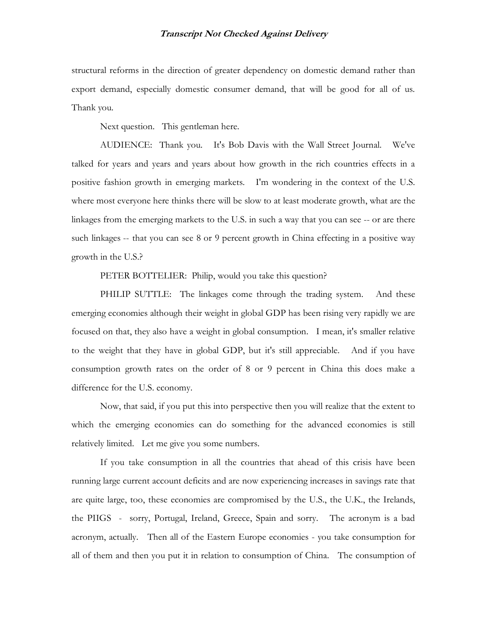structural reforms in the direction of greater dependency on domestic demand rather than export demand, especially domestic consumer demand, that will be good for all of us. Thank you.

Next question. This gentleman here.

AUDIENCE: Thank you. It's Bob Davis with the Wall Street Journal. We've talked for years and years and years about how growth in the rich countries effects in a positive fashion growth in emerging markets. I'm wondering in the context of the U.S. where most everyone here thinks there will be slow to at least moderate growth, what are the linkages from the emerging markets to the U.S. in such a way that you can see -- or are there such linkages -- that you can see 8 or 9 percent growth in China effecting in a positive way growth in the U.S.?

PETER BOTTELIER: Philip, would you take this question?

PHILIP SUTTLE: The linkages come through the trading system. And these emerging economies although their weight in global GDP has been rising very rapidly we are focused on that, they also have a weight in global consumption. I mean, it's smaller relative to the weight that they have in global GDP, but it's still appreciable. And if you have consumption growth rates on the order of 8 or 9 percent in China this does make a difference for the U.S. economy.

Now, that said, if you put this into perspective then you will realize that the extent to which the emerging economies can do something for the advanced economies is still relatively limited. Let me give you some numbers.

If you take consumption in all the countries that ahead of this crisis have been running large current account deficits and are now experiencing increases in savings rate that are quite large, too, these economies are compromised by the U.S., the U.K., the Irelands, the PIIGS - sorry, Portugal, Ireland, Greece, Spain and sorry. The acronym is a bad acronym, actually. Then all of the Eastern Europe economies - you take consumption for all of them and then you put it in relation to consumption of China. The consumption of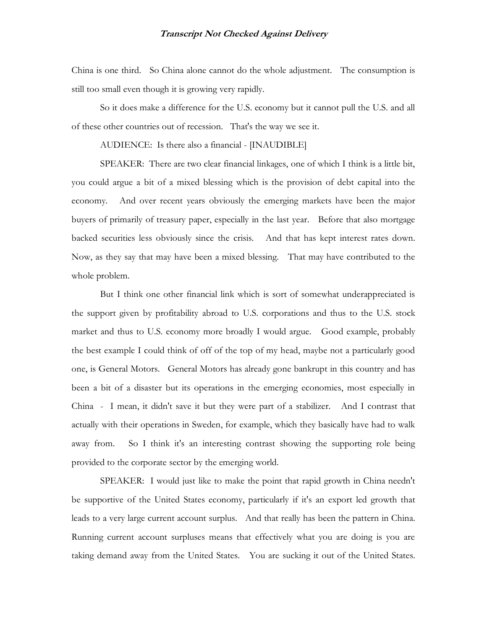China is one third. So China alone cannot do the whole adjustment. The consumption is still too small even though it is growing very rapidly.

So it does make a difference for the U.S. economy but it cannot pull the U.S. and all of these other countries out of recession. That's the way we see it.

AUDIENCE: Is there also a financial - [INAUDIBLE]

SPEAKER: There are two clear financial linkages, one of which I think is a little bit, you could argue a bit of a mixed blessing which is the provision of debt capital into the economy. And over recent years obviously the emerging markets have been the major buyers of primarily of treasury paper, especially in the last year. Before that also mortgage backed securities less obviously since the crisis. And that has kept interest rates down. Now, as they say that may have been a mixed blessing. That may have contributed to the whole problem.

But I think one other financial link which is sort of somewhat underappreciated is the support given by profitability abroad to U.S. corporations and thus to the U.S. stock market and thus to U.S. economy more broadly I would argue. Good example, probably the best example I could think of off of the top of my head, maybe not a particularly good one, is General Motors. General Motors has already gone bankrupt in this country and has been a bit of a disaster but its operations in the emerging economies, most especially in China - I mean, it didn't save it but they were part of a stabilizer. And I contrast that actually with their operations in Sweden, for example, which they basically have had to walk away from. So I think it's an interesting contrast showing the supporting role being provided to the corporate sector by the emerging world.

SPEAKER: I would just like to make the point that rapid growth in China needn't be supportive of the United States economy, particularly if it's an export led growth that leads to a very large current account surplus. And that really has been the pattern in China. Running current account surpluses means that effectively what you are doing is you are taking demand away from the United States. You are sucking it out of the United States.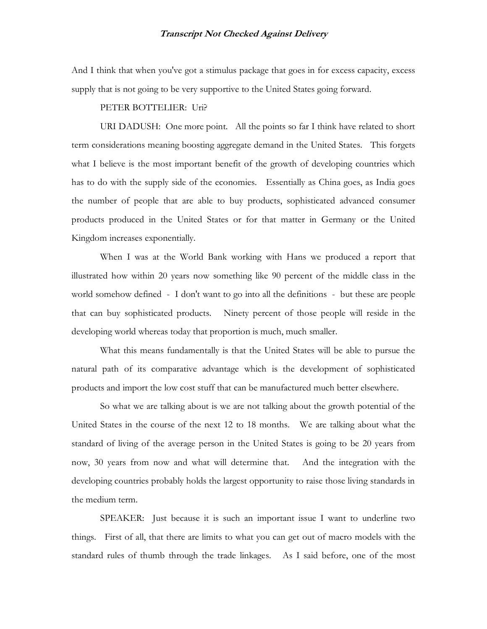And I think that when you've got a stimulus package that goes in for excess capacity, excess supply that is not going to be very supportive to the United States going forward.

#### PETER BOTTELIER: Uri?

URI DADUSH: One more point. All the points so far I think have related to short term considerations meaning boosting aggregate demand in the United States. This forgets what I believe is the most important benefit of the growth of developing countries which has to do with the supply side of the economies. Essentially as China goes, as India goes the number of people that are able to buy products, sophisticated advanced consumer products produced in the United States or for that matter in Germany or the United Kingdom increases exponentially.

When I was at the World Bank working with Hans we produced a report that illustrated how within 20 years now something like 90 percent of the middle class in the world somehow defined - I don't want to go into all the definitions - but these are people that can buy sophisticated products. Ninety percent of those people will reside in the developing world whereas today that proportion is much, much smaller.

What this means fundamentally is that the United States will be able to pursue the natural path of its comparative advantage which is the development of sophisticated products and import the low cost stuff that can be manufactured much better elsewhere.

So what we are talking about is we are not talking about the growth potential of the United States in the course of the next 12 to 18 months. We are talking about what the standard of living of the average person in the United States is going to be 20 years from now, 30 years from now and what will determine that. And the integration with the developing countries probably holds the largest opportunity to raise those living standards in the medium term.

SPEAKER: Just because it is such an important issue I want to underline two things. First of all, that there are limits to what you can get out of macro models with the standard rules of thumb through the trade linkages. As I said before, one of the most